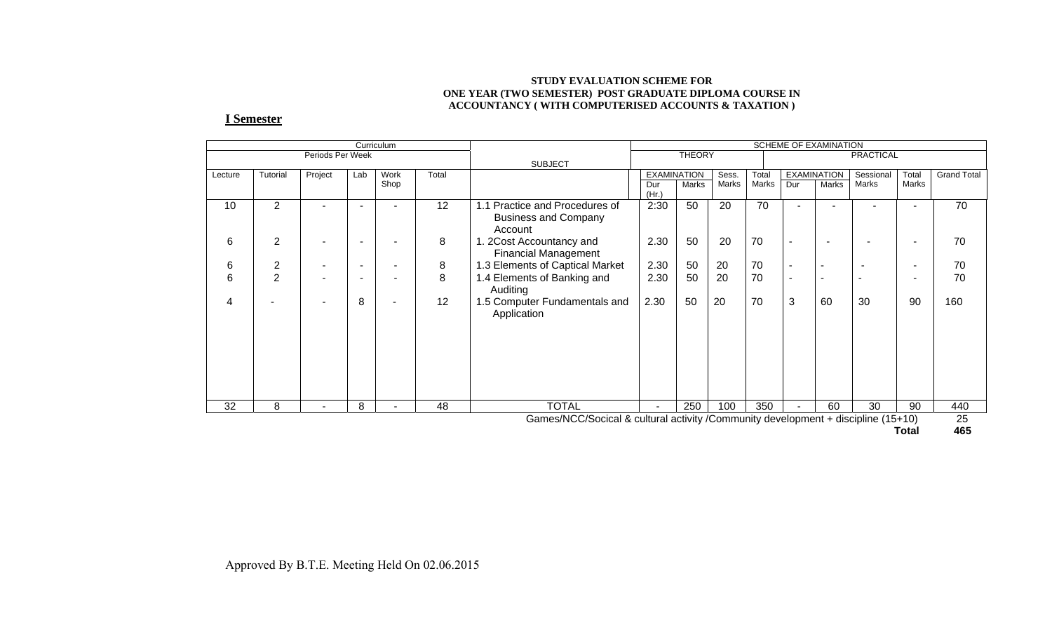#### **STUDY EVALUATION SCHEME FOR ONE YEAR (TWO SEMESTER) POST GRADUATE DIPLOMA COURSE IN ACCOUNTANCY ( WITH COMPUTERISED ACCOUNTS & TAXATION )**

#### **I Semester**

|                                                                                         |                |                          |     | Curriculum |       |                                   | SCHEME OF EXAMINATION |                    |       |           |                          |                          |           |                          |                    |
|-----------------------------------------------------------------------------------------|----------------|--------------------------|-----|------------|-------|-----------------------------------|-----------------------|--------------------|-------|-----------|--------------------------|--------------------------|-----------|--------------------------|--------------------|
|                                                                                         |                | Periods Per Week         |     |            |       |                                   | <b>THEORY</b>         |                    |       | PRACTICAL |                          |                          |           |                          |                    |
|                                                                                         |                |                          |     |            |       | <b>SUBJECT</b>                    |                       |                    |       |           |                          |                          |           |                          |                    |
| Lecture                                                                                 | Tutorial       | Project                  | Lab | Work       | Total |                                   |                       | <b>EXAMINATION</b> | Sess. | Total     |                          | <b>EXAMINATION</b>       | Sessional | Total                    | <b>Grand Total</b> |
|                                                                                         |                |                          |     | Shop       |       |                                   | Dur<br>(Hr.)          | <b>Marks</b>       | Marks | Marks     | Dur                      | Marks                    | Marks     | Marks                    |                    |
| 10                                                                                      | $\overline{2}$ |                          |     | ٠          | 12    | Practice and Procedures of<br>1.1 | 2:30                  | 50                 | 20    | 70        |                          |                          | ۰         | $\overline{\phantom{0}}$ | 70                 |
|                                                                                         |                |                          |     |            |       | <b>Business and Company</b>       |                       |                    |       |           |                          |                          |           |                          |                    |
|                                                                                         |                |                          |     |            |       | Account                           |                       |                    |       |           |                          |                          |           |                          |                    |
| 6                                                                                       | $\overline{2}$ |                          |     |            | 8     | 2Cost Accountancy and             | 2.30                  | 50                 | 20    | 70        | $\overline{\phantom{a}}$ | $\overline{\phantom{0}}$ |           |                          | 70                 |
|                                                                                         |                |                          |     |            |       | <b>Financial Management</b>       |                       |                    |       |           |                          |                          |           |                          |                    |
| 6                                                                                       | $\overline{2}$ |                          |     | ۰          | 8     | 1.3 Elements of Captical Market   | 2.30                  | 50                 | 20    | 70        | $\overline{\phantom{a}}$ |                          |           |                          | 70                 |
| 6                                                                                       | $\overline{2}$ | $\overline{\phantom{a}}$ |     | ۰          | 8     | 1.4 Elements of Banking and       | 2.30                  | 50                 | 20    | 70        | $\overline{\phantom{a}}$ | $\overline{\phantom{0}}$ |           |                          | 70                 |
|                                                                                         |                |                          |     |            |       | Auditing                          |                       |                    |       |           |                          |                          |           |                          |                    |
| 4                                                                                       |                |                          | 8   | ۰          | 12    | 1.5 Computer Fundamentals and     | 2.30                  | 50                 | 20    | 70        | 3                        | 60                       | 30        | 90                       | 160                |
|                                                                                         |                |                          |     |            |       | Application                       |                       |                    |       |           |                          |                          |           |                          |                    |
|                                                                                         |                |                          |     |            |       |                                   |                       |                    |       |           |                          |                          |           |                          |                    |
|                                                                                         |                |                          |     |            |       |                                   |                       |                    |       |           |                          |                          |           |                          |                    |
|                                                                                         |                |                          |     |            |       |                                   |                       |                    |       |           |                          |                          |           |                          |                    |
|                                                                                         |                |                          |     |            |       |                                   |                       |                    |       |           |                          |                          |           |                          |                    |
|                                                                                         |                |                          |     |            |       |                                   |                       |                    |       |           |                          |                          |           |                          |                    |
|                                                                                         |                |                          |     |            |       |                                   |                       |                    |       |           |                          |                          |           |                          |                    |
| 32                                                                                      | 8              | $\overline{\phantom{a}}$ | 8   | ۰          | 48    | <b>TOTAL</b>                      | ٠                     | 250                | 100   | 350       |                          | 60                       | 30        | 90                       | 440                |
| 25<br>Games/NCC/Socical & cultural activity /Community development + discipline (15+10) |                |                          |     |            |       |                                   |                       |                    |       |           |                          |                          |           |                          |                    |

**Total 465**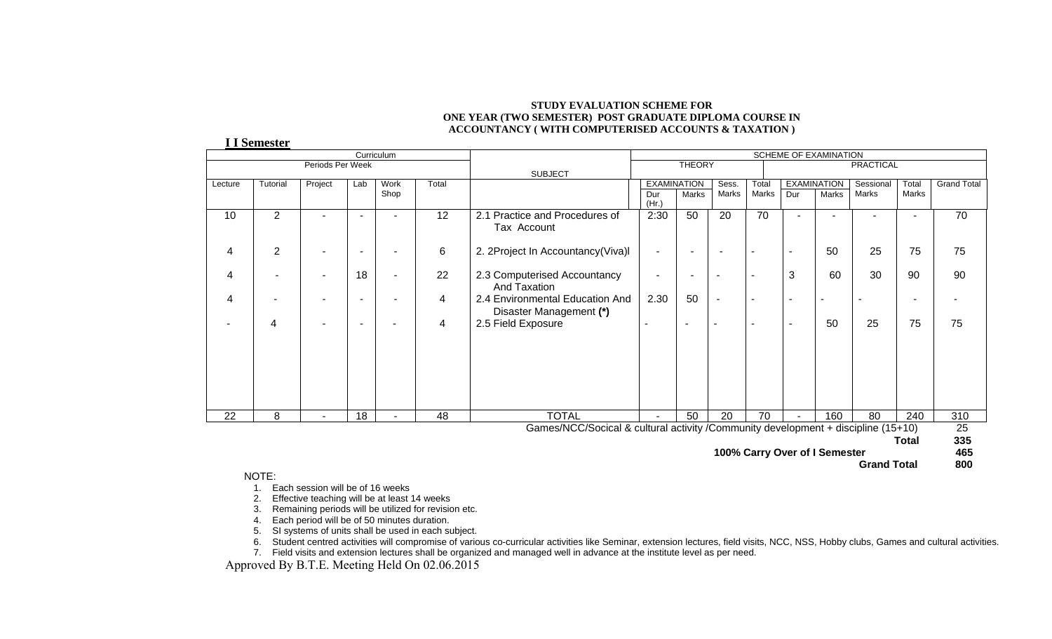#### **STUDY EVALUATION SCHEME FOR ONE YEAR (TWO SEMESTER) POST GRADUATE DIPLOMA COURSE IN ACCOUNTANCY ( WITH COMPUTERISED ACCOUNTS & TAXATION )**

**I I Semester**

|         | Curriculum<br>SCHEME OF EXAMINATION |                          |     |                          |       |                                                                                   |                          |                    |                |                          |                |                          |                    |                |                    |
|---------|-------------------------------------|--------------------------|-----|--------------------------|-------|-----------------------------------------------------------------------------------|--------------------------|--------------------|----------------|--------------------------|----------------|--------------------------|--------------------|----------------|--------------------|
|         |                                     | Periods Per Week         |     |                          |       |                                                                                   | <b>THEORY</b>            |                    |                | <b>PRACTICAL</b>         |                |                          |                    |                |                    |
|         |                                     |                          |     |                          |       | <b>SUBJECT</b>                                                                    |                          |                    |                |                          |                |                          |                    |                |                    |
| Lecture | Tutorial                            | Project                  | Lab | Work<br>Shop             | Total |                                                                                   |                          | <b>EXAMINATION</b> | Sess.<br>Marks | Total<br>Marks           | Dur            | <b>EXAMINATION</b>       | Sessional<br>Marks | Total<br>Marks | <b>Grand Total</b> |
|         |                                     |                          |     |                          |       |                                                                                   | Dur<br>(Hr.)             | Marks              |                |                          |                | Marks                    |                    |                |                    |
| 10      | $\overline{2}$                      | ۰                        | ٠   | ٠                        | 12    | 2.1 Practice and Procedures of<br>Tax Account                                     | 2:30                     | 50                 | 20             | 70                       |                | $\overline{\phantom{a}}$ | ٠                  | ٠              | 70                 |
| 4       | $\overline{2}$                      | -                        |     |                          | 6     | 2. 2Project In Accountancy(Viva)I                                                 | $\blacksquare$           |                    |                |                          | ٠              | 50                       | 25                 | 75             | 75                 |
| 4       |                                     | $\overline{\phantom{0}}$ | 18  | ۰                        | 22    | 2.3 Computerised Accountancy<br>And Taxation                                      |                          |                    |                | $\overline{\phantom{0}}$ | 3              | 60                       | 30                 | 90             | 90                 |
| 4       |                                     |                          |     |                          | 4     | 2.4 Environmental Education And<br>Disaster Management (*)                        | 2.30                     | 50                 |                | $\overline{\phantom{a}}$ | $\blacksquare$ |                          |                    |                |                    |
|         | 4                                   | ۰                        |     |                          | 4     | 2.5 Field Exposure                                                                |                          |                    |                | $\overline{\phantom{a}}$ | ۰              | 50                       | 25                 | 75             | 75                 |
|         |                                     |                          |     |                          |       |                                                                                   |                          |                    |                |                          |                |                          |                    |                |                    |
| 22      | 8                                   | ۰                        | 18  | $\overline{\phantom{a}}$ | 48    | <b>TOTAL</b>                                                                      | $\overline{\phantom{0}}$ | 50                 | 20             | 70                       |                | 160                      | 80                 | 240            | 310                |
|         |                                     |                          |     |                          |       | Games/NCC/Socical & cultural activity /Community development + discipline (15+10) |                          |                    |                |                          |                |                          |                    |                | 25                 |
|         | 335<br>Total                        |                          |     |                          |       |                                                                                   |                          |                    |                |                          |                |                          |                    |                |                    |

 **100% Carry Over of I Semester 465** 

 **Grand Total 800** 800

#### NOTE:

- 1. Each session will be of 16 weeks
- 2. Effective teaching will be at least 14 weeks
- 3. Remaining periods will be utilized for revision etc.
- 4. Each period will be of 50 minutes duration.
- 5. SI systems of units shall be used in each subject.
- 6. Student centred activities will compromise of various co-curricular activities like Seminar, extension lectures, field visits, NCC, NSS, Hobby clubs, Games and cultural activities.
- 7. Field visits and extension lectures shall be organized and managed well in advance at the institute level as per need.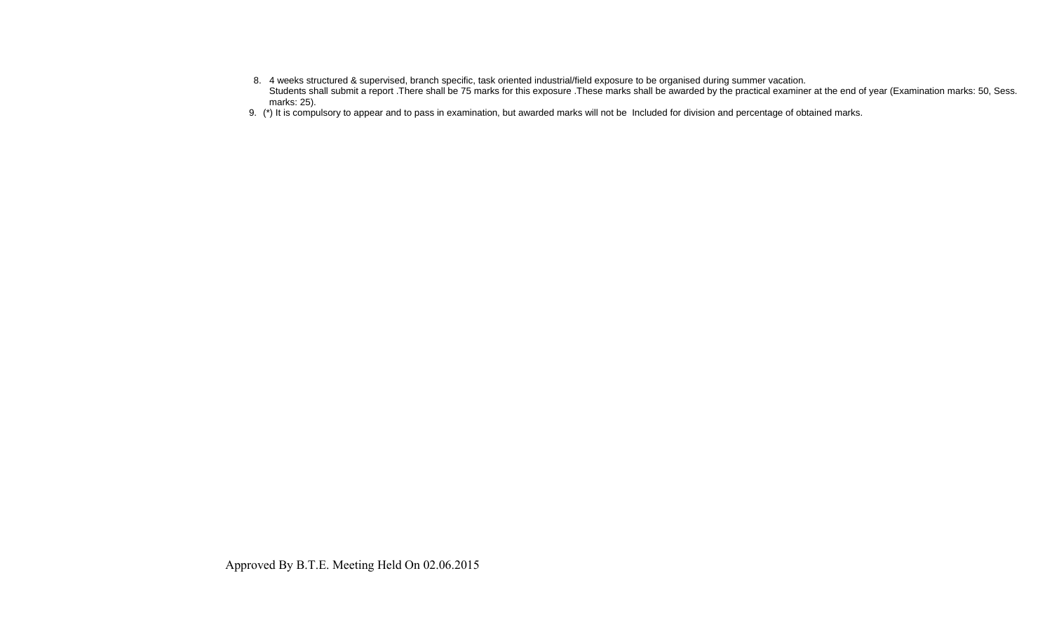- 8. 4 weeks structured & supervised, branch specific, task oriented industrial/field exposure to be organised during summer vacation. Students shall submit a report .There shall be 75 marks for this exposure .These marks shall be awarded by the practical examiner at the end of year (Examination marks: 50, Sess. marks: 25).
- 9. (\*) It is compulsory to appear and to pass in examination, but awarded marks will not be Included for division and percentage of obtained marks.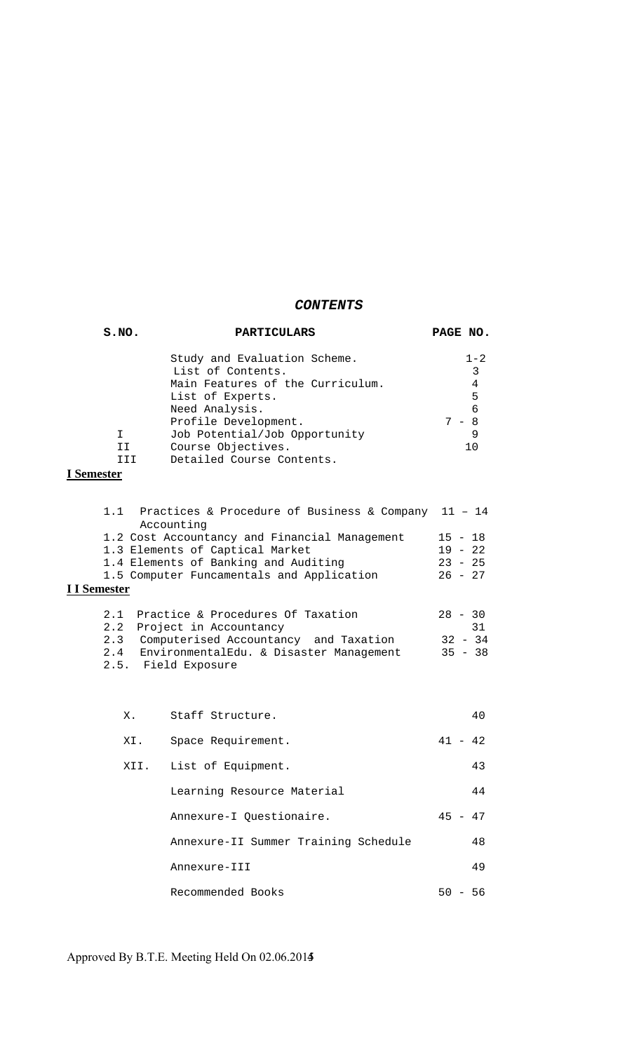# *CONTENTS*

| S.NO. | PARTICULARS                                       | PAGE NO.     |
|-------|---------------------------------------------------|--------------|
|       | Study and Evaluation Scheme.<br>List of Contents. | $1 - 2$<br>3 |
|       | Main Features of the Curriculum.                  | 4            |
|       | List of Experts.                                  | 5            |
|       | Need Analysis.                                    | 6            |
|       | Profile Development.                              | - 8          |
|       | Job Potential/Job Opportunity                     | 9            |
| ТT    | Course Objectives.                                | 1 O          |
|       | Detailed Course Contents.                         |              |

# **I Semester**

| 1.1 Practices & Procedure of Business & Company 11 - 14 |           |  |  |
|---------------------------------------------------------|-----------|--|--|
| Accounting                                              |           |  |  |
| 1.2 Cost Accountancy and Financial Management           | $15 - 18$ |  |  |
| 1.3 Elements of Captical Market                         | $19 - 22$ |  |  |
| 1.4 Elements of Banking and Auditing                    |           |  |  |
| 1.5 Computer Funcamentals and Application               | $26 - 27$ |  |  |
| I I Semester                                            |           |  |  |
| Practice & Procedures Of Taxation<br>2.1                | $28 - 30$ |  |  |
| Project in Accountancy<br>2.2                           | 31        |  |  |
| 2.3 Computerised Accountancy and Taxation               | $32 - 34$ |  |  |

|                     | 2.4 EnvironmentalEdu. & Disaster Management | 35 - 38 |
|---------------------|---------------------------------------------|---------|
| 2.5. Field Exposure |                                             |         |

| Х.  | Staff Structure.                     | 40          |
|-----|--------------------------------------|-------------|
| XI. | Space Requirement.                   | $41 - 42$   |
|     | XII. List of Equipment.              | 43          |
|     | Learning Resource Material           | 44          |
|     | Annexure-I Ouestionaire.             | $45 - 47$   |
|     | Annexure-II Summer Training Schedule | 48          |
|     | Annexure-III                         | 49          |
|     | Recommended Books                    | 50.<br>- 56 |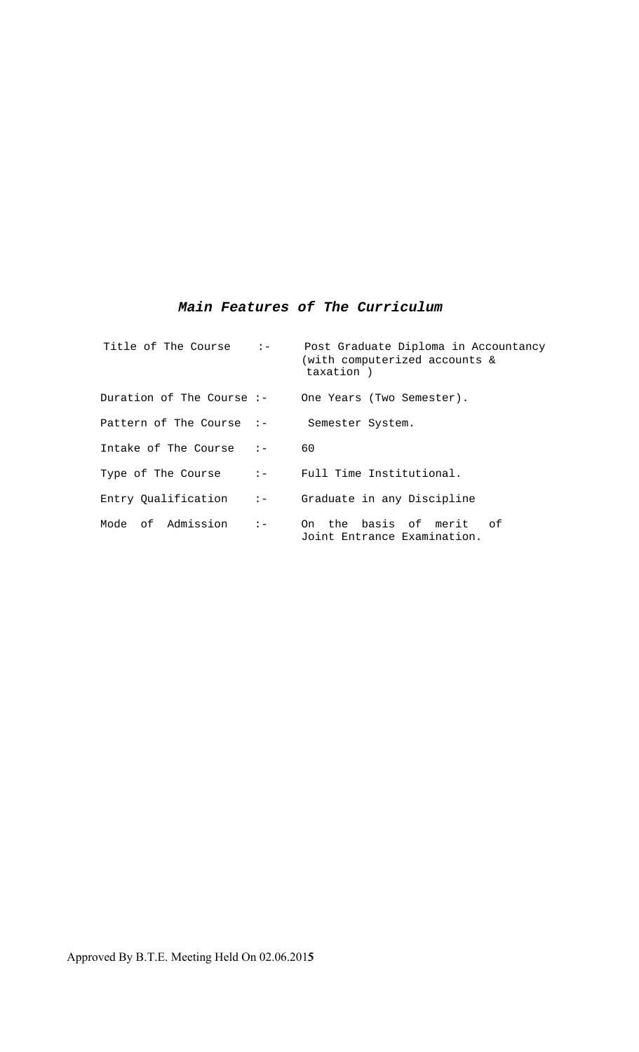# *Main Features of The Curriculum*

| Title of The Course :-      |                                                                 | Post Graduate Diploma in Accountancy<br>(with computerized accounts &<br>taxation) |
|-----------------------------|-----------------------------------------------------------------|------------------------------------------------------------------------------------|
| Duration of The Course $:-$ |                                                                 | One Years (Two Semester).                                                          |
| Pattern of The Course $:-$  |                                                                 | Semester System.                                                                   |
| Intake of The Course $: -$  |                                                                 | 60                                                                                 |
| Type of The Course          | $\mathbf{1}$ and $\mathbf{2}$ and $\mathbf{3}$ and $\mathbf{4}$ | Full Time Institutional.                                                           |
| Entry Qualification         | $\mathbf{z}$                                                    | Graduate in any Discipline                                                         |
| Mode of Admission           | $\mathbf{I} =$                                                  | On the basis of merit<br>ം പ<br>Joint Entrance Examination.                        |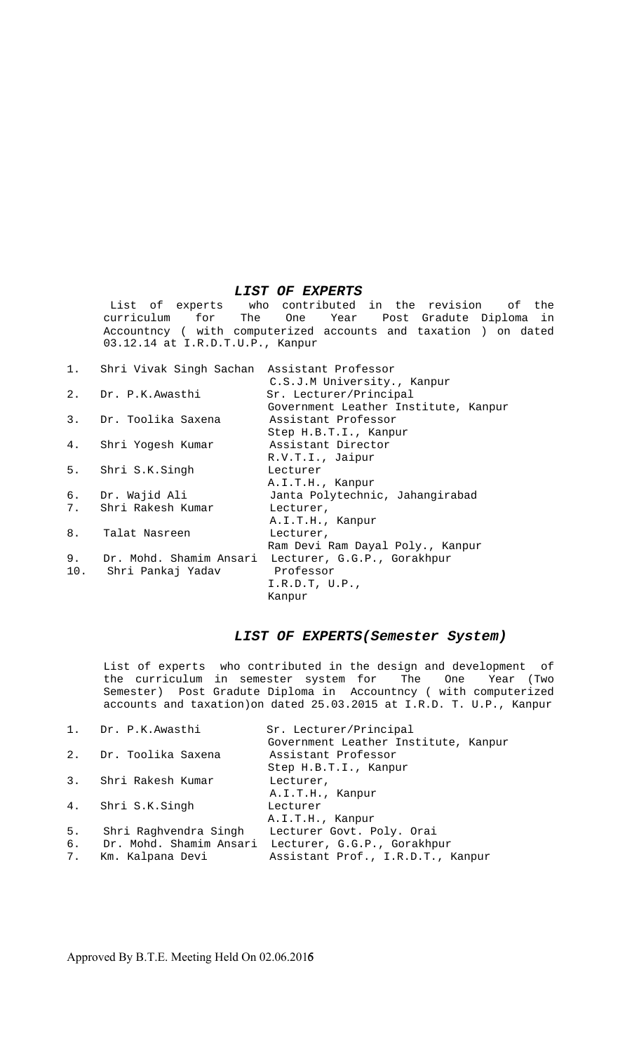#### *LIST OF EXPERTS*

 List of experts who contributed in the revision of the curriculum for The One Year Post Gradute Diploma in Accountncy ( with computerized accounts and taxation ) on dated 03.12.14 at I.R.D.T.U.P., Kanpur

|    | 1. Shri Vivak Singh Sachan Assistant Professor | C.S.J.M University., Kanpur          |
|----|------------------------------------------------|--------------------------------------|
| 2. | Dr. P.K.Awasthi                                | Sr. Lecturer/Principal               |
|    |                                                | Government Leather Institute, Kanpur |
| 3. | Dr. Toolika Saxena                             | Assistant Professor                  |
|    |                                                | Step H.B.T.I., Kanpur                |
|    | 4. Shri Yogesh Kumar                           | Assistant Director                   |
|    |                                                | R.V.T.I., Jaipur                     |
|    | 5. Shri S.K.Singh                              | Lecturer                             |
|    |                                                | A.I.T.H., Kanpur                     |
|    | 6. Dr. Wajid Ali                               | Janta Polytechnic, Jahangirabad      |
|    | 7. Shri Rakesh Kumar                           | Lecturer,                            |
|    |                                                | A.I.T.H., Kanpur                     |
| 8. | Talat Nasreen                                  | Lecturer,                            |
|    |                                                | Ram Devi Ram Dayal Poly., Kanpur     |
| 9. | Dr. Mohd. Shamim Ansari                        | Lecturer, G.G.P., Gorakhpur          |
|    | 10. Shri Pankaj Yadav                          | Professor                            |
|    |                                                | I.R.D.T, U.P.,                       |
|    |                                                | Kanpur                               |
|    |                                                |                                      |

#### *LIST OF EXPERTS(Semester System)*

List of experts who contributed in the design and development of the curriculum in semester system for The One Year (Two Semester) Post Gradute Diploma in Accountncy ( with computerized accounts and taxation)on dated 25.03.2015 at I.R.D. T. U.P., Kanpur

|                         | Sr. Lecturer/Principal                                                                    |
|-------------------------|-------------------------------------------------------------------------------------------|
|                         | Government Leather Institute, Kanpur                                                      |
|                         | Assistant Professor                                                                       |
|                         | Step H.B.T.I., Kanpur                                                                     |
|                         | Lecturer,                                                                                 |
|                         | A.I.T.H., Kanpur                                                                          |
|                         | Lecturer                                                                                  |
|                         | A.I.T.H., Kanpur                                                                          |
| Shri Raghvendra Singh   | Lecturer Govt. Poly. Orai                                                                 |
| Dr. Mohd. Shamim Ansari | Lecturer, G.G.P., Gorakhpur                                                               |
| Km. Kalpana Devi        | Assistant Prof., I.R.D.T., Kanpur                                                         |
|                         | 1. Dr. P.K. Awasthi<br>2. Dr. Toolika Saxena<br>3. Shri Rakesh Kumar<br>4. Shri S.K.Singh |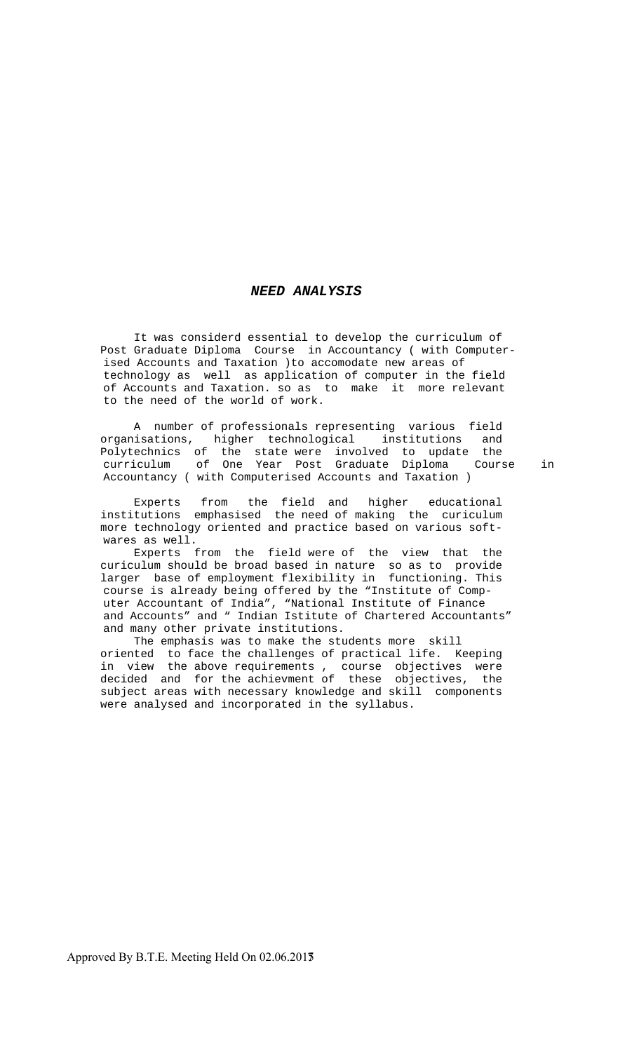#### *NEED ANALYSIS*

 It was considerd essential to develop the curriculum of Post Graduate Diploma Course in Accountancy ( with Computerised Accounts and Taxation )to accomodate new areas of technology as well as application of computer in the field of Accounts and Taxation. so as to make it more relevant to the need of the world of work.

 A number of professionals representing various field organisations, higher technological institutions and Polytechnics of the state were involved to update the curriculum of One Year Post Graduate Diploma Course in Accountancy ( with Computerised Accounts and Taxation )

 Experts from the field and higher educational institutions emphasised the need of making the curiculum more technology oriented and practice based on various softwares as well.

 Experts from the field were of the view that the curiculum should be broad based in nature so as to provide larger base of employment flexibility in functioning. This course is already being offered by the "Institute of Computer Accountant of India", "National Institute of Finance and Accounts" and " Indian Istitute of Chartered Accountants" and many other private institutions.

 The emphasis was to make the students more skill oriented to face the challenges of practical life. Keeping in view the above requirements , course objectives were decided and for the achievment of these objectives, the subject areas with necessary knowledge and skill components were analysed and incorporated in the syllabus.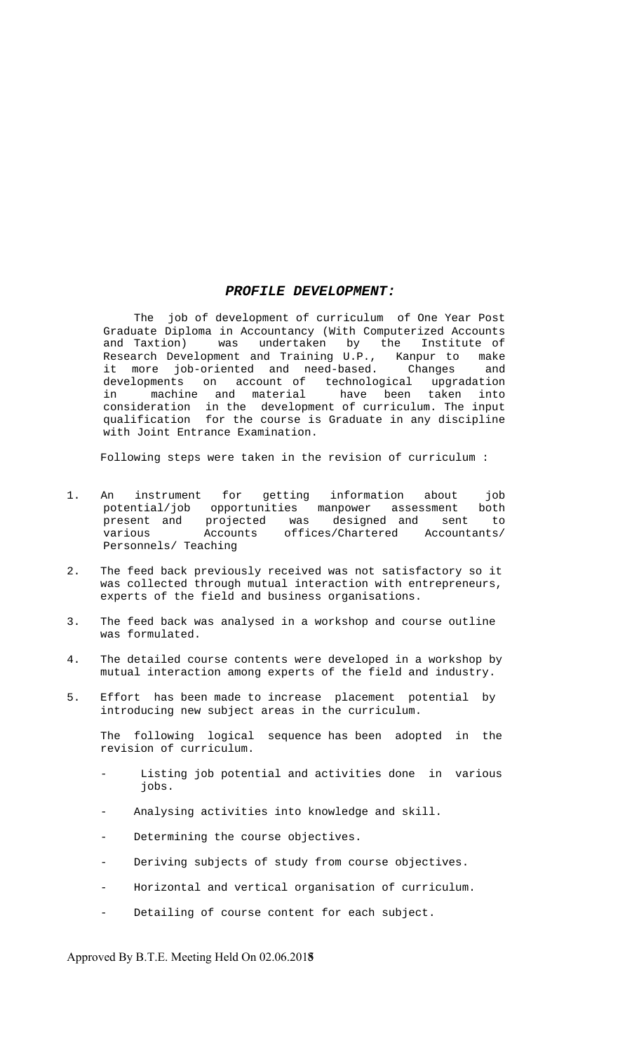#### *PROFILE DEVELOPMENT:*

 The job of development of curriculum of One Year Post Graduate Diploma in Accountancy (With Computerized Accounts and Taxtion) was undertaken by the Institute of Research Development and Training U.P., Kanpur to make it more job-oriented and need-based. Changes and developments on account of technological upgradation in machine and material have been taken into consideration in the development of curriculum. The input qualification for the course is Graduate in any discipline with Joint Entrance Examination.

Following steps were taken in the revision of curriculum :

- 1. An instrument for getting information about job potential/job opportunities manpower assessment both present and projected was designed and sent to various Accounts offices/Chartered Accountants/ Personnels/ Teaching
- 2. The feed back previously received was not satisfactory so it was collected through mutual interaction with entrepreneurs, experts of the field and business organisations.
- 3. The feed back was analysed in a workshop and course outline was formulated.
- 4. The detailed course contents were developed in a workshop by mutual interaction among experts of the field and industry.
- 5. Effort has been made to increase placement potential by introducing new subject areas in the curriculum.

 The following logical sequence has been adopted in the revision of curriculum.

- Listing job potential and activities done in various jobs.
- Analysing activities into knowledge and skill.
- Determining the course objectives.
- Deriving subjects of study from course objectives.
- Horizontal and vertical organisation of curriculum.
- Detailing of course content for each subject.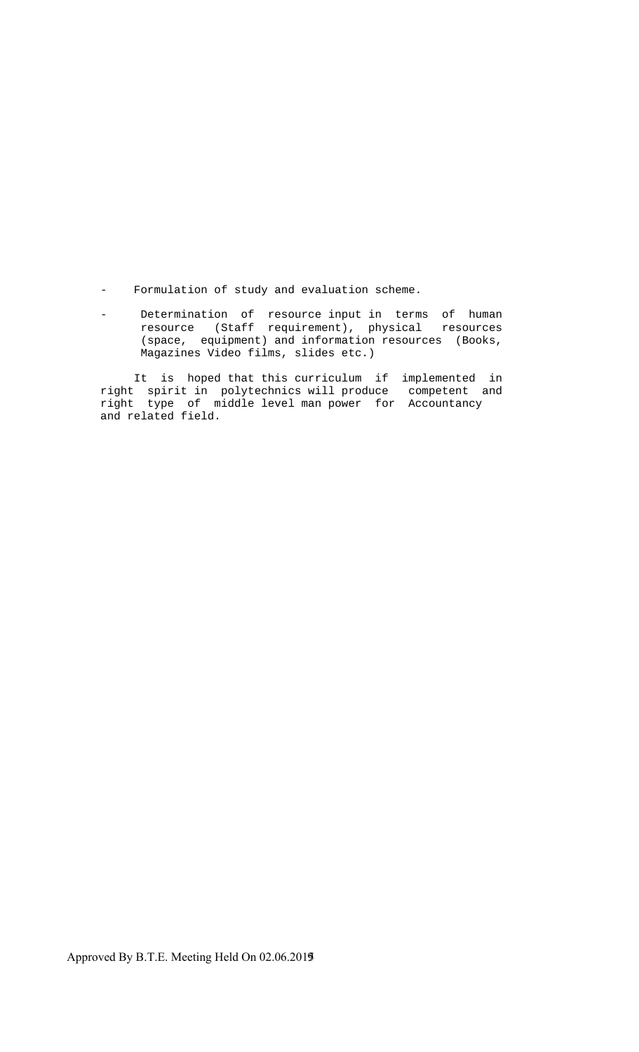- Formulation of study and evaluation scheme.
- Determination of resource input in terms of human resource (Staff requirement), physical resources (space, equipment) and information resources (Books, Magazines Video films, slides etc.)

 It is hoped that this curriculum if implemented in right spirit in polytechnics will produce competent and right type of middle level man power for Accountancy and related field.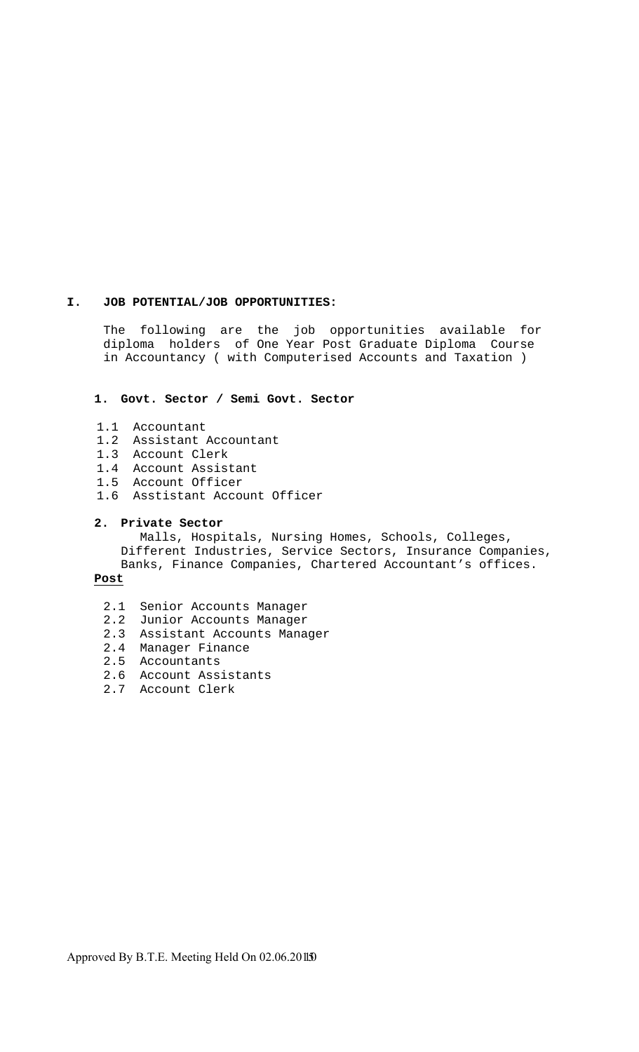#### **I. JOB POTENTIAL/JOB OPPORTUNITIES:**

The following are the job opportunities available for diploma holders of One Year Post Graduate Diploma Course in Accountancy ( with Computerised Accounts and Taxation )

#### **1. Govt. Sector / Semi Govt. Sector**

- 1.1 Accountant
- 1.2 Assistant Accountant
- 1.3 Account Clerk
- 1.4 Account Assistant
- 1.5 Account Officer
- 1.6 Asstistant Account Officer

#### **2. Private Sector**

Malls, Hospitals, Nursing Homes, Schools, Colleges, Different Industries, Service Sectors, Insurance Companies, Banks, Finance Companies, Chartered Accountant's offices.

#### **Post**

- 2.1 Senior Accounts Manager
- 2.2 Junior Accounts Manager
- 2.3 Assistant Accounts Manager
- 2.4 Manager Finance
- 2.5 Accountants
- 2.6 Account Assistants
- 2.7 Account Clerk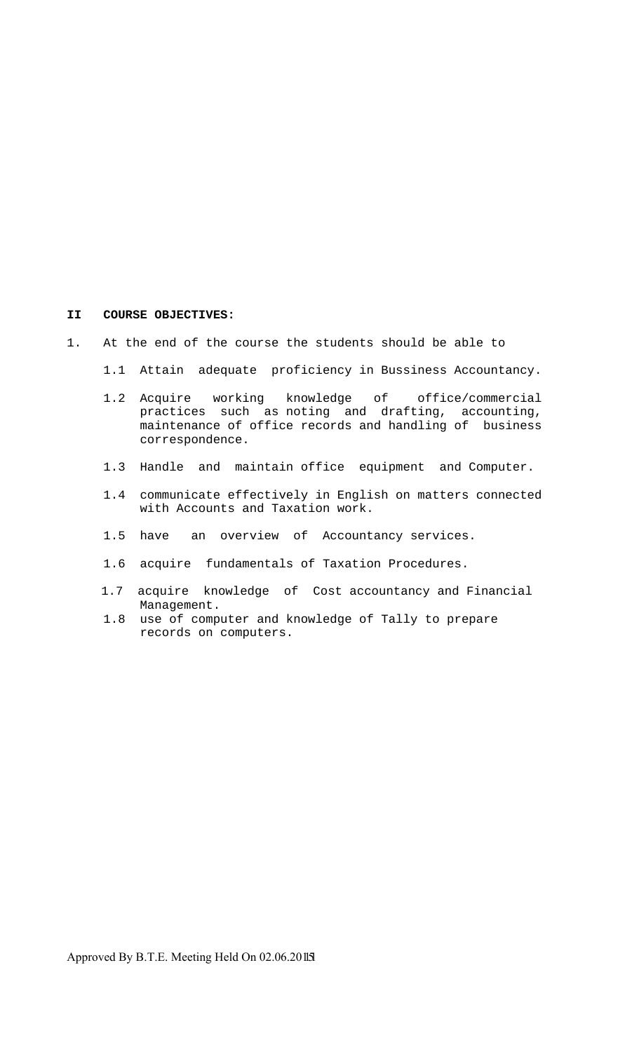#### **II COURSE OBJECTIVES:**

- 1. At the end of the course the students should be able to
	- 1.1 Attain adequate proficiency in Bussiness Accountancy.
- 1.2 Acquire working knowledge of office/commercial practices such as noting and drafting, accounting, maintenance of office records and handling of business correspondence.
	- 1.3 Handle and maintain office equipment and Computer.
	- 1.4 communicate effectively in English on matters connected with Accounts and Taxation work.
	- 1.5 have an overview of Accountancy services.
	- 1.6 acquire fundamentals of Taxation Procedures.
	- 1.7 acquire knowledge of Cost accountancy and Financial Management.
	- 1.8 use of computer and knowledge of Tally to prepare records on computers.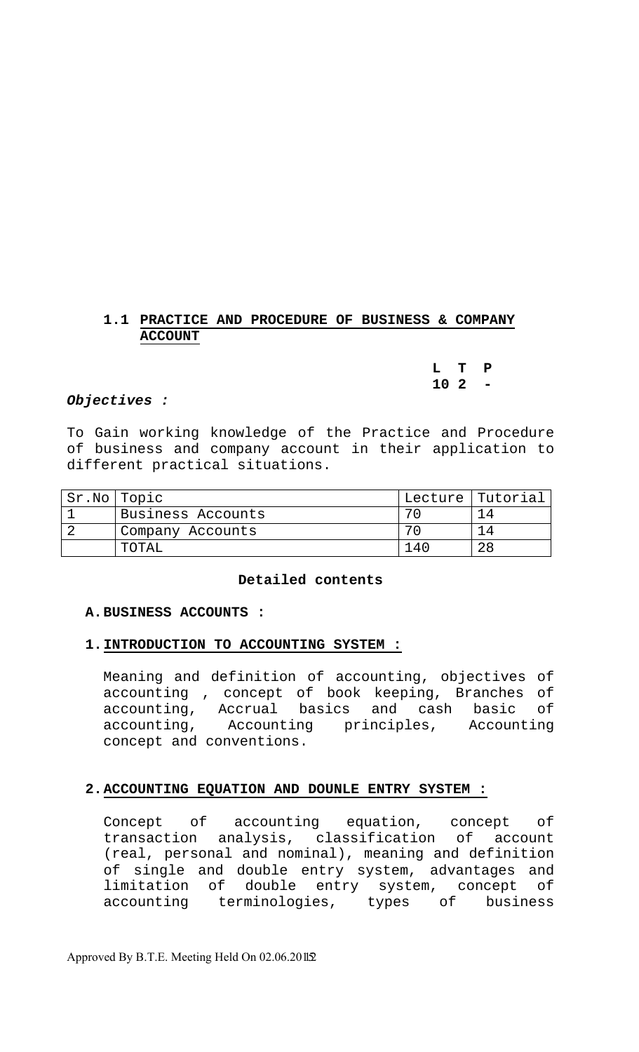# **1.1 PRACTICE AND PROCEDURE OF BUSINESS & COMPANY ACCOUNT**

**L T P 10 2 -** 

## *Objectives :*

To Gain working knowledge of the Practice and Procedure of business and company account in their application to different practical situations.

| Sr.No Topic |                   | 'Lecture   Tutorial |
|-------------|-------------------|---------------------|
|             | Business Accounts |                     |
|             | Company Accounts  |                     |
|             | TOTAL             | 28                  |

#### **Detailed contents**

#### **A.BUSINESS ACCOUNTS :**

# **1.INTRODUCTION TO ACCOUNTING SYSTEM :**

Meaning and definition of accounting, objectives of accounting , concept of book keeping, Branches of accounting, Accrual basics and cash basic of accounting, Accounting principles, Accounting concept and conventions.

# **2.ACCOUNTING EQUATION AND DOUNLE ENTRY SYSTEM :**

Concept of accounting equation, concept of transaction analysis, classification of account (real, personal and nominal), meaning and definition of single and double entry system, advantages and limitation of double entry system, concept of accounting terminologies, types of business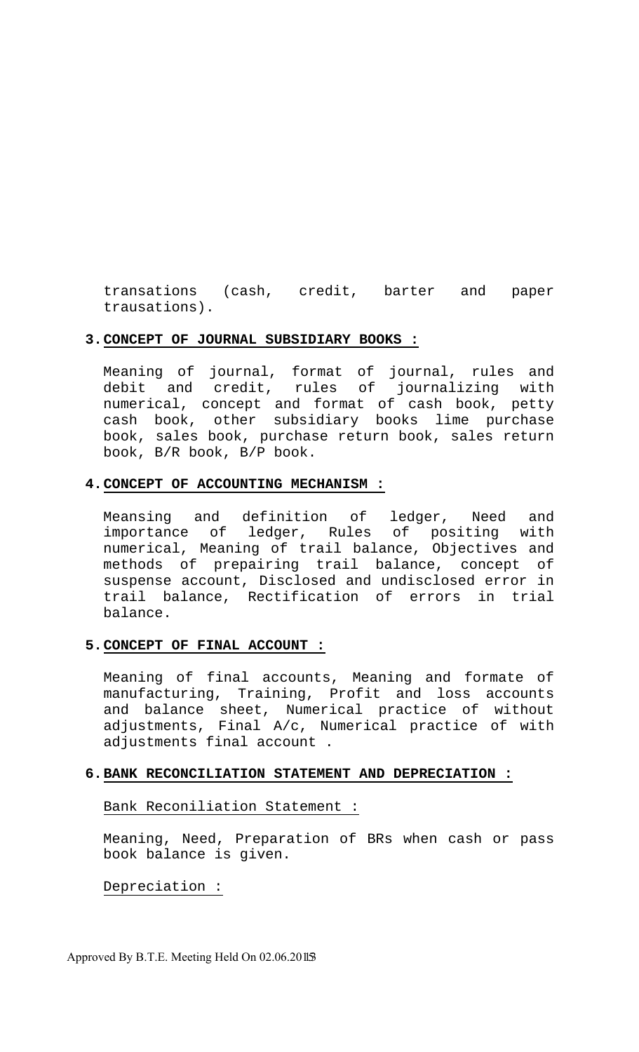transations (cash, credit, barter and paper trausations).

## **3.CONCEPT OF JOURNAL SUBSIDIARY BOOKS :**

Meaning of journal, format of journal, rules and debit and credit, rules of journalizing with numerical, concept and format of cash book, petty cash book, other subsidiary books lime purchase book, sales book, purchase return book, sales return book, B/R book, B/P book.

#### **4.CONCEPT OF ACCOUNTING MECHANISM :**

Meansing and definition of ledger, Need and importance of ledger, Rules of positing with numerical, Meaning of trail balance, Objectives and methods of prepairing trail balance, concept of suspense account, Disclosed and undisclosed error in trail balance, Rectification of errors in trial balance.

## **5.CONCEPT OF FINAL ACCOUNT :**

Meaning of final accounts, Meaning and formate of manufacturing, Training, Profit and loss accounts and balance sheet, Numerical practice of without adjustments, Final A/c, Numerical practice of with adjustments final account .

#### **6.BANK RECONCILIATION STATEMENT AND DEPRECIATION :**

#### Bank Reconiliation Statement :

Meaning, Need, Preparation of BRs when cash or pass book balance is given.

## Depreciation :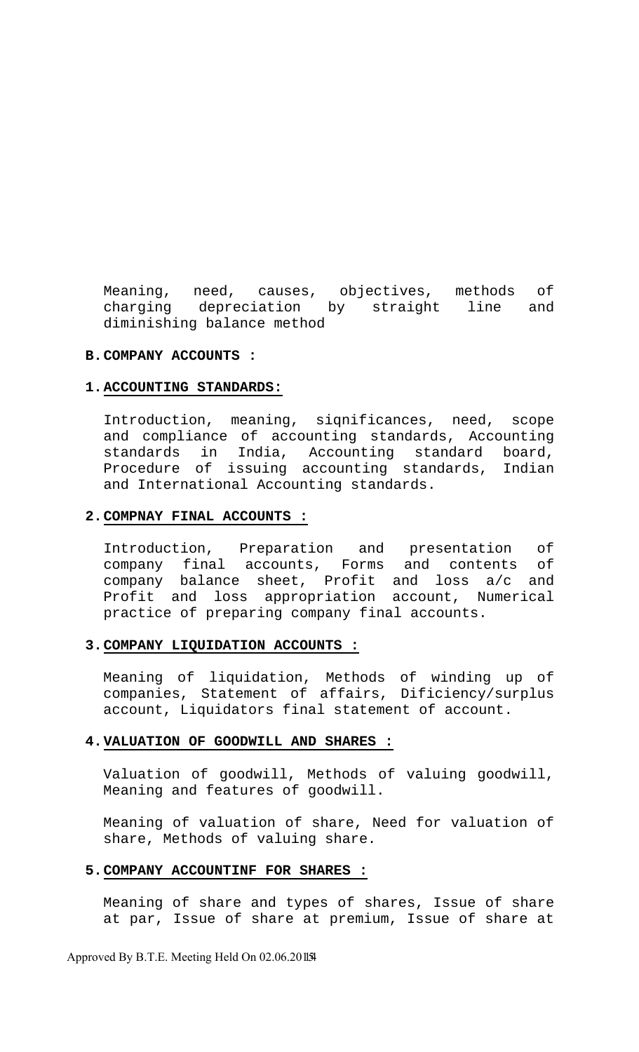Meaning, need, causes, objectives, methods of charging depreciation by straight line and diminishing balance method

# **B.COMPANY ACCOUNTS :**

#### **1.ACCOUNTING STANDARDS:**

Introduction, meaning, siqnificances, need, scope and compliance of accounting standards, Accounting standards in India, Accounting standard board, Procedure of issuing accounting standards, Indian and International Accounting standards.

#### **2.COMPNAY FINAL ACCOUNTS :**

Introduction, Preparation and presentation of company final accounts, Forms and contents of company balance sheet, Profit and loss a/c and Profit and loss appropriation account, Numerical practice of preparing company final accounts.

#### **3.COMPANY LIQUIDATION ACCOUNTS :**

Meaning of liquidation, Methods of winding up of companies, Statement of affairs, Dificiency/surplus account, Liquidators final statement of account.

## **4.VALUATION OF GOODWILL AND SHARES :**

Valuation of goodwill, Methods of valuing goodwill, Meaning and features of goodwill.

Meaning of valuation of share, Need for valuation of share, Methods of valuing share.

#### **5.COMPANY ACCOUNTINF FOR SHARES :**

Meaning of share and types of shares, Issue of share at par, Issue of share at premium, Issue of share at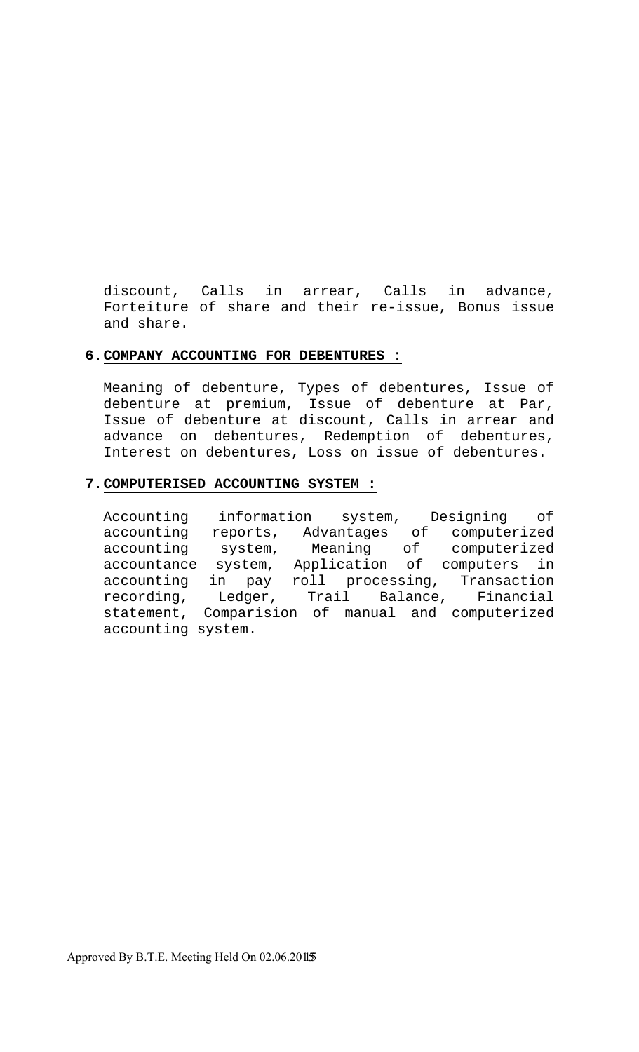discount, Calls in arrear, Calls in advance, Forteiture of share and their re-issue, Bonus issue and share.

## **6.COMPANY ACCOUNTING FOR DEBENTURES :**

Meaning of debenture, Types of debentures, Issue of debenture at premium, Issue of debenture at Par, Issue of debenture at discount, Calls in arrear and advance on debentures, Redemption of debentures, Interest on debentures, Loss on issue of debentures.

#### **7.COMPUTERISED ACCOUNTING SYSTEM :**

Accounting information system, Designing of accounting reports, Advantages of computerized accounting system, Meaning of computerized accountance system, Application of computers in accounting in pay roll processing, Transaction recording, Ledger, Trail Balance, Financial statement, Comparision of manual and computerized accounting system.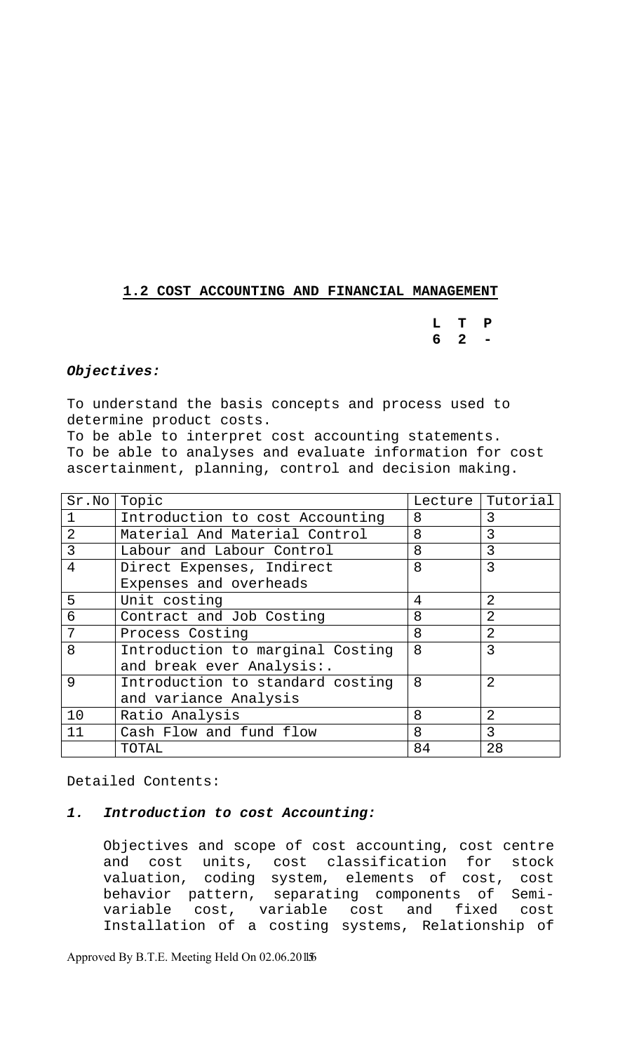# **1.2 COST ACCOUNTING AND FINANCIAL MANAGEMENT**

**L T P 6 2 -** 

# *Objectives:*

To understand the basis concepts and process used to determine product costs.

To be able to interpret cost accounting statements. To be able to analyses and evaluate information for cost ascertainment, planning, control and decision making.

| Sr.No          | Topic                            | Lecture | Tutorial       |
|----------------|----------------------------------|---------|----------------|
|                | Introduction to cost Accounting  | 8       | 3              |
| $\overline{2}$ | Material And Material Control    | 8       | 3              |
| 3              | Labour and Labour Control        | 8       | 3              |
| 4              | Direct Expenses, Indirect        | 8       | 3              |
|                | Expenses and overheads           |         |                |
| 5              | Unit costing                     | 4       | 2              |
| 6              | Contract and Job Costing         | 8       | $\overline{2}$ |
| 7              | Process Costing                  | 8       | $\overline{2}$ |
| 8              | Introduction to marginal Costing | 8       | 3              |
|                | and break ever Analysis:.        |         |                |
| 9              | Introduction to standard costing | 8       | $\overline{2}$ |
|                | and variance Analysis            |         |                |
| 10             | Ratio Analysis                   | 8       | $\overline{2}$ |
| 11             | Cash Flow and fund flow          | 8       | 3              |
|                | TOTAL                            | 84      | 28             |

Detailed Contents:

## *1. Introduction to cost Accounting:*

Objectives and scope of cost accounting, cost centre and cost units, cost classification for stock valuation, coding system, elements of cost, cost behavior pattern, separating components of Semivariable cost, variable cost and fixed cost Installation of a costing systems, Relationship of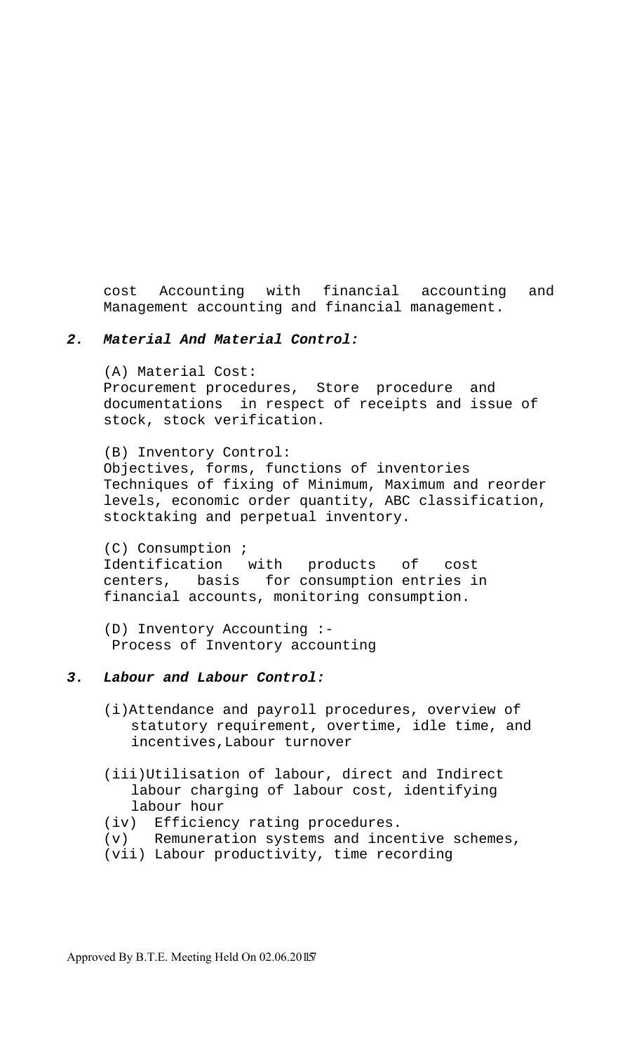cost Accounting with financial accounting and Management accounting and financial management.

## *2. Material And Material Control:*

(A) Material Cost: Procurement procedures, Store procedure and documentations in respect of receipts and issue of stock, stock verification.

(B) Inventory Control: Objectives, forms, functions of inventories Techniques of fixing of Minimum, Maximum and reorder levels, economic order quantity, ABC classification, stocktaking and perpetual inventory.

(C) Consumption ; Identification with products of cost centers, basis for consumption entries in financial accounts, monitoring consumption.

(D) Inventory Accounting :- Process of Inventory accounting

# *3. Labour and Labour Control:*

- (i)Attendance and payroll procedures, overview of statutory requirement, overtime, idle time, and incentives,Labour turnover
- (iii)Utilisation of labour, direct and Indirect labour charging of labour cost, identifying labour hour
- (iv) Efficiency rating procedures.
- (v) Remuneration systems and incentive schemes,
- (vii) Labour productivity, time recording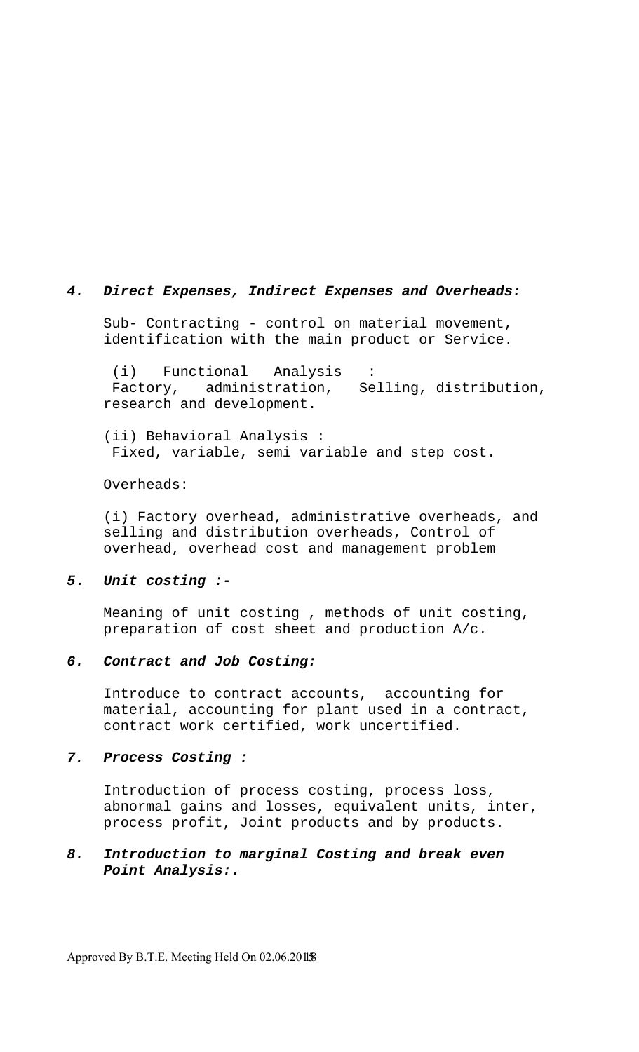#### *4. Direct Expenses, Indirect Expenses and Overheads:*

Sub- Contracting - control on material movement, identification with the main product or Service.

 (i) Functional Analysis : Factory, administration, Selling, distribution, research and development.

(ii) Behavioral Analysis : Fixed, variable, semi variable and step cost.

Overheads:

(i) Factory overhead, administrative overheads, and selling and distribution overheads, Control of overhead, overhead cost and management problem

#### *5. Unit costing :-*

Meaning of unit costing , methods of unit costing, preparation of cost sheet and production A/c.

## *6. Contract and Job Costing:*

Introduce to contract accounts, accounting for material, accounting for plant used in a contract, contract work certified, work uncertified.

#### *7. Process Costing :*

Introduction of process costing, process loss, abnormal gains and losses, equivalent units, inter, process profit, Joint products and by products.

# *8. Introduction to marginal Costing and break even Point Analysis:.*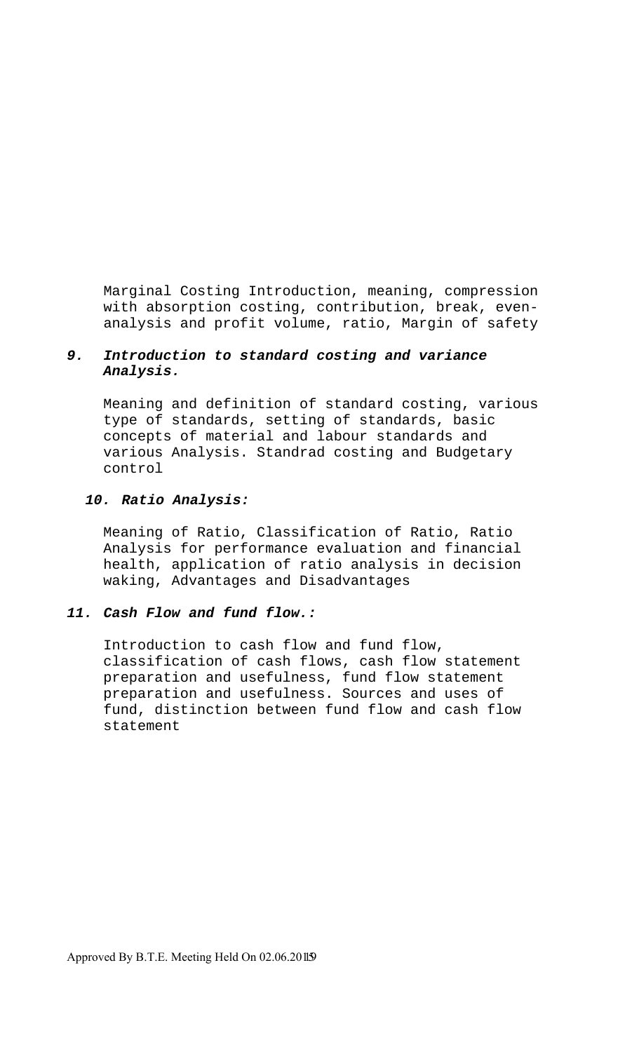Marginal Costing Introduction, meaning, compression with absorption costing, contribution, break, evenanalysis and profit volume, ratio, Margin of safety

# *9. Introduction to standard costing and variance Analysis.*

Meaning and definition of standard costing, various type of standards, setting of standards, basic concepts of material and labour standards and various Analysis. Standrad costing and Budgetary control

# *10. Ratio Analysis:*

Meaning of Ratio, Classification of Ratio, Ratio Analysis for performance evaluation and financial health, application of ratio analysis in decision waking, Advantages and Disadvantages

## *11. Cash Flow and fund flow.:*

Introduction to cash flow and fund flow, classification of cash flows, cash flow statement preparation and usefulness, fund flow statement preparation and usefulness. Sources and uses of fund, distinction between fund flow and cash flow statement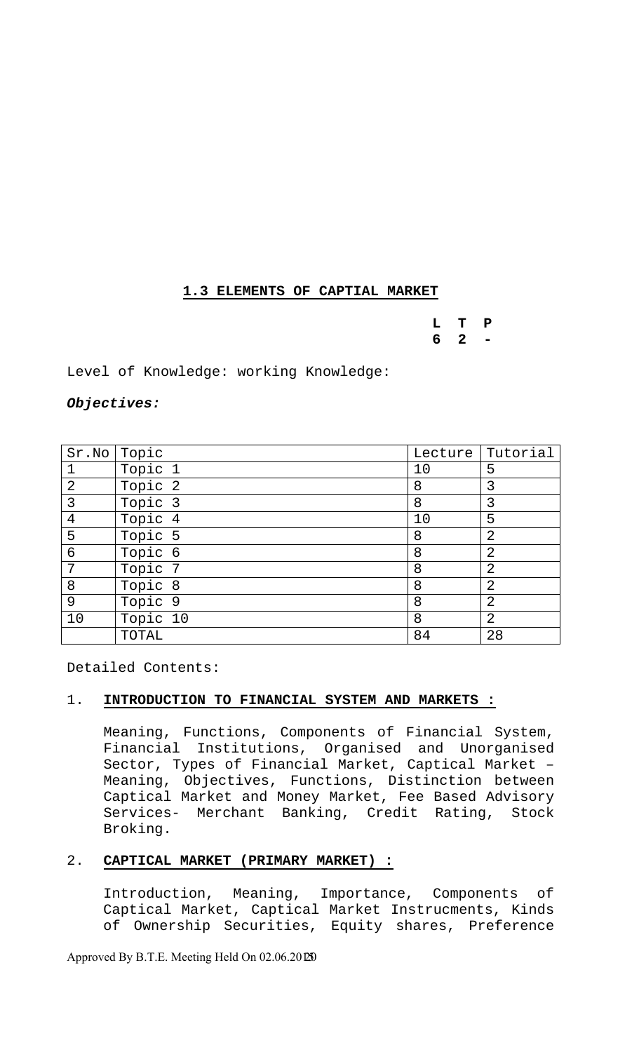# **1.3 ELEMENTS OF CAPTIAL MARKET**

**L T P 6 2 -** 

Level of Knowledge: working Knowledge:

## *Objectives:*

| Sr.No          | Topic    |    | Lecture Tutorial |
|----------------|----------|----|------------------|
| $\mathbf 1$    | Topic 1  | 10 | 5                |
| $\overline{2}$ | Topic 2  | 8  | 3                |
| 3              | Topic 3  | 8  | 3                |
| $\overline{4}$ | Topic 4  | 10 | 5                |
| 5              | Topic 5  | 8  | $\overline{2}$   |
| $\epsilon$     | Topic 6  | 8  | $\overline{2}$   |
| 7              | Topic 7  | 8  | $\overline{2}$   |
| 8              | Topic 8  | 8  | $\overline{2}$   |
| 9              | Topic 9  | 8  | $\overline{2}$   |
| 10             | Topic 10 | 8  | $\overline{2}$   |
|                | TOTAL    | 84 | 28               |

Detailed Contents:

# 1. **INTRODUCTION TO FINANCIAL SYSTEM AND MARKETS :**

Meaning, Functions, Components of Financial System, Financial Institutions, Organised and Unorganised Sector, Types of Financial Market, Captical Market – Meaning, Objectives, Functions, Distinction between Captical Market and Money Market, Fee Based Advisory Services- Merchant Banking, Credit Rating, Stock Broking.

# 2. **CAPTICAL MARKET (PRIMARY MARKET) :**

Introduction, Meaning, Importance, Components of Captical Market, Captical Market Instrucments, Kinds of Ownership Securities, Equity shares, Preference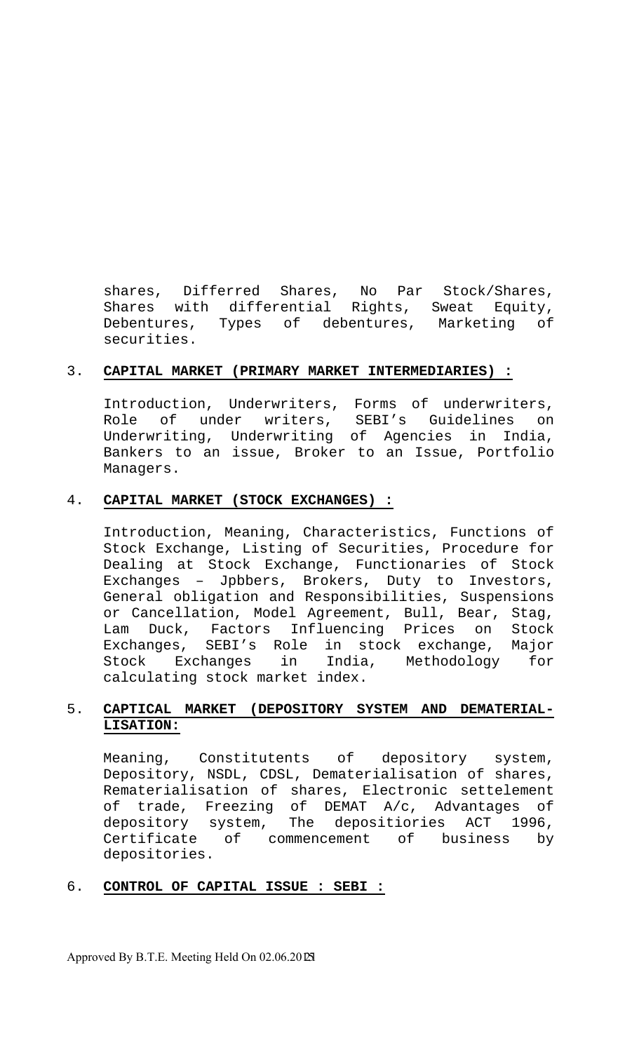shares, Differred Shares, No Par Stock/Shares, Shares with differential Rights, Sweat Equity, Debentures, Types of debentures, Marketing of securities.

# 3. **CAPITAL MARKET (PRIMARY MARKET INTERMEDIARIES) :**

Introduction, Underwriters, Forms of underwriters, Role of under writers, SEBI's Guidelines on Underwriting, Underwriting of Agencies in India, Bankers to an issue, Broker to an Issue, Portfolio Managers.

# 4. **CAPITAL MARKET (STOCK EXCHANGES) :**

Introduction, Meaning, Characteristics, Functions of Stock Exchange, Listing of Securities, Procedure for Dealing at Stock Exchange, Functionaries of Stock Exchanges – Jpbbers, Brokers, Duty to Investors, General obligation and Responsibilities, Suspensions or Cancellation, Model Agreement, Bull, Bear, Stag, Lam Duck, Factors Influencing Prices on Stock Exchanges, SEBI's Role in stock exchange, Major Stock Exchanges in India, Methodology for calculating stock market index.

# 5. **CAPTICAL MARKET (DEPOSITORY SYSTEM AND DEMATERIAL-LISATION:**

Meaning, Constitutents of depository system, Depository, NSDL, CDSL, Dematerialisation of shares, Rematerialisation of shares, Electronic settelement of trade, Freezing of DEMAT A/c, Advantages of depository system, The depositiories ACT 1996, Certificate of commencement of business by depositories.

# 6. **CONTROL OF CAPITAL ISSUE : SEBI :**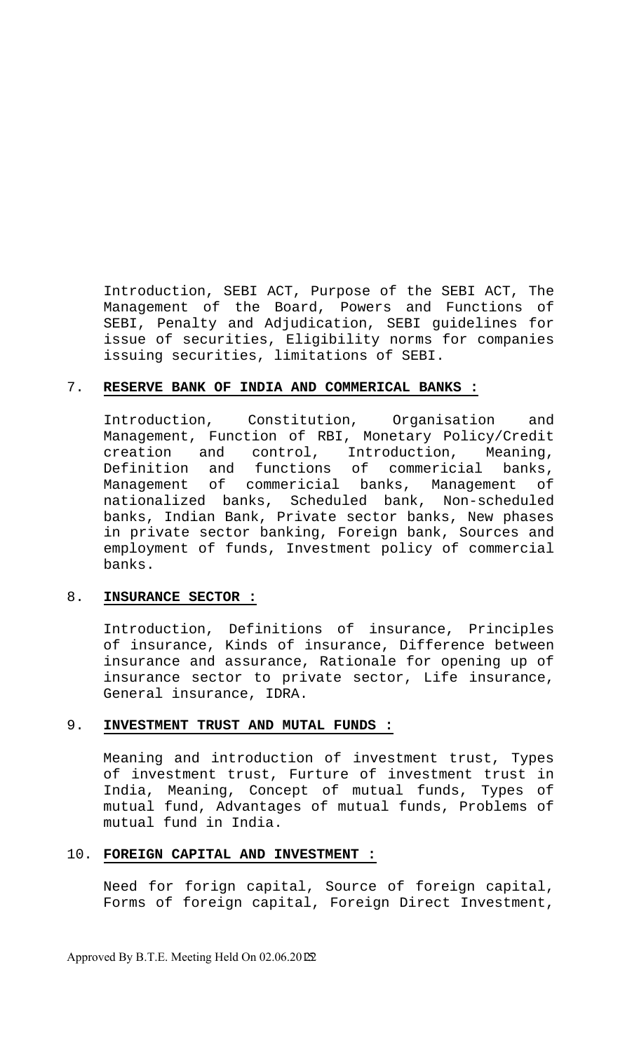Introduction, SEBI ACT, Purpose of the SEBI ACT, The Management of the Board, Powers and Functions of SEBI, Penalty and Adjudication, SEBI guidelines for issue of securities, Eligibility norms for companies issuing securities, limitations of SEBI.

## 7. **RESERVE BANK OF INDIA AND COMMERICAL BANKS :**

Introduction, Constitution, Organisation and Management, Function of RBI, Monetary Policy/Credit creation and control, Introduction, Meaning, Definition and functions of commericial banks, Management of commericial banks, Management of nationalized banks, Scheduled bank, Non-scheduled banks, Indian Bank, Private sector banks, New phases in private sector banking, Foreign bank, Sources and employment of funds, Investment policy of commercial banks.

## 8. **INSURANCE SECTOR :**

Introduction, Definitions of insurance, Principles of insurance, Kinds of insurance, Difference between insurance and assurance, Rationale for opening up of insurance sector to private sector, Life insurance, General insurance, IDRA.

## 9. **INVESTMENT TRUST AND MUTAL FUNDS :**

Meaning and introduction of investment trust, Types of investment trust, Furture of investment trust in India, Meaning, Concept of mutual funds, Types of mutual fund, Advantages of mutual funds, Problems of mutual fund in India.

## 10. **FOREIGN CAPITAL AND INVESTMENT :**

Need for forign capital, Source of foreign capital, Forms of foreign capital, Foreign Direct Investment,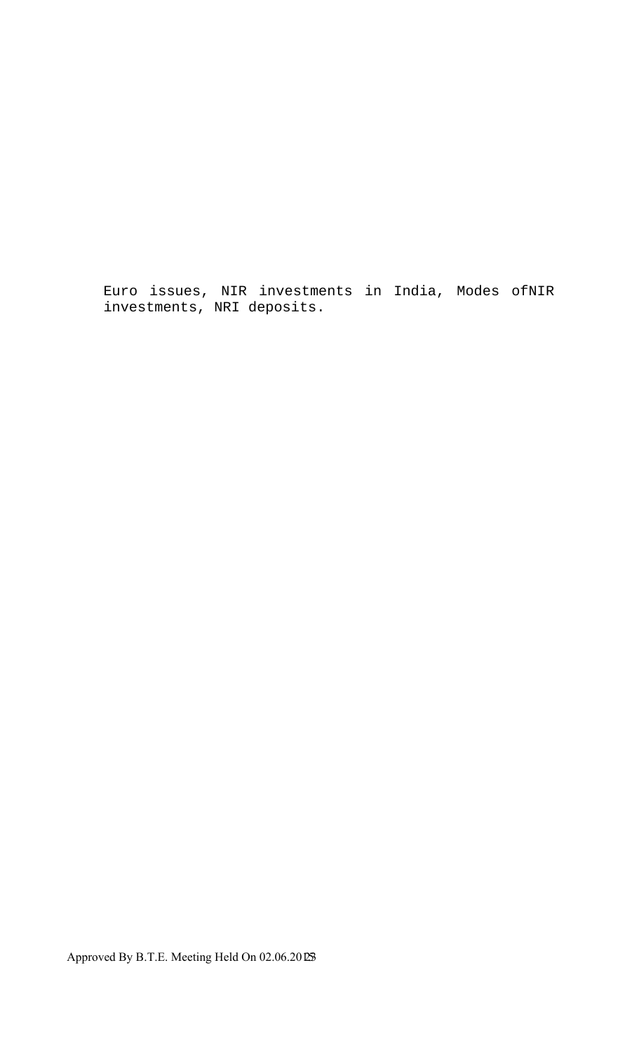Euro issues, NIR investments in India, Modes ofNIR investments, NRI deposits.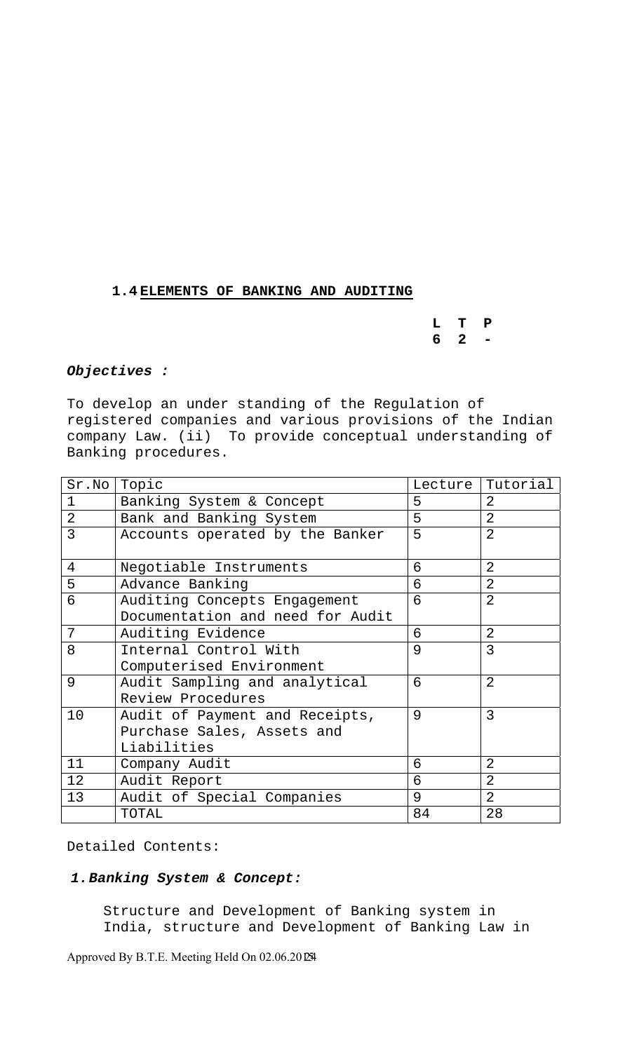# **1.4 ELEMENTS OF BANKING AND AUDITING**

**L T P 6 2 -** 

#### *Objectives :*

To develop an under standing of the Regulation of registered companies and various provisions of the Indian company Law. (ii) To provide conceptual understanding of Banking procedures.

| Sr.No          | Topic                            | Lecture | Tutorial       |
|----------------|----------------------------------|---------|----------------|
| 1              | Banking System & Concept         | 5       | 2              |
| $\overline{2}$ | Bank and Banking System          | 5       | $\overline{2}$ |
| 3              | Accounts operated by the Banker  | 5       | $\overline{2}$ |
|                |                                  |         |                |
| 4              | Negotiable Instruments           | 6       | 2              |
| 5              | Advance Banking                  | 6       | $\overline{2}$ |
| 6              | Auditing Concepts Engagement     | 6       | 2              |
|                | Documentation and need for Audit |         |                |
| 7              | Auditing Evidence                | 6       | 2              |
| 8              | Internal Control With            | 9       | $\overline{3}$ |
|                | Computerised Environment         |         |                |
| 9              | Audit Sampling and analytical    | 6       | $\overline{2}$ |
|                | Review Procedures                |         |                |
| 10             | Audit of Payment and Receipts,   | 9       | 3              |
|                | Purchase Sales, Assets and       |         |                |
|                | Liabilities                      |         |                |
| 11             | Company Audit                    | 6       | 2              |
| 12             | Audit Report                     | 6       | 2              |
| 13             | Audit of Special Companies       | 9       | $\overline{2}$ |
|                | TOTAL                            | 84      | 28             |

Detailed Contents:

# *1.Banking System & Concept:*

Structure and Development of Banking system in India, structure and Development of Banking Law in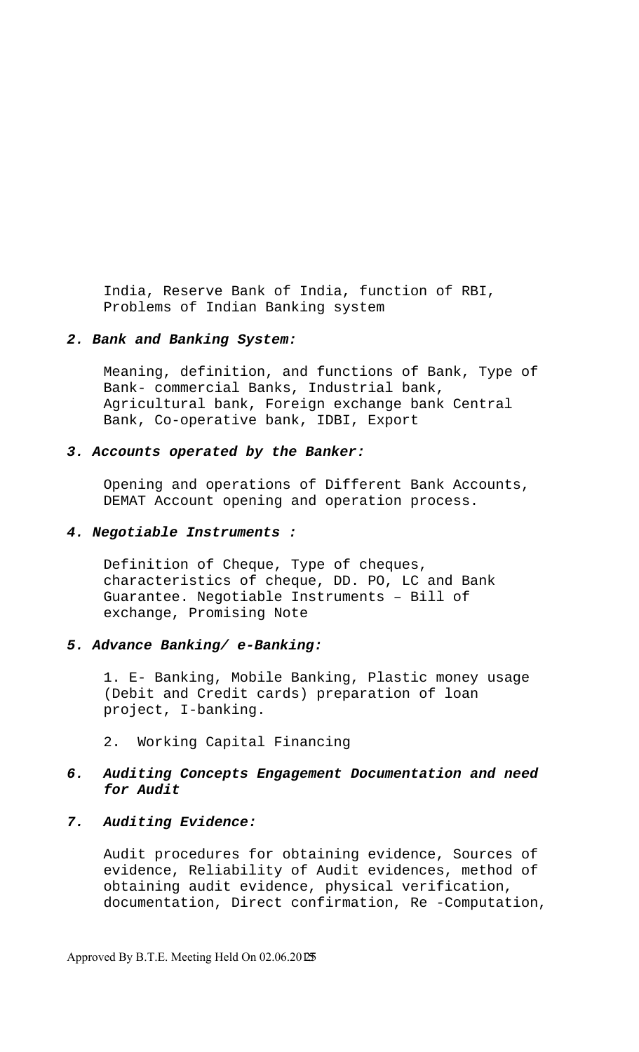India, Reserve Bank of India, function of RBI, Problems of Indian Banking system

## *2. Bank and Banking System:*

Meaning, definition, and functions of Bank, Type of Bank- commercial Banks, Industrial bank, Agricultural bank, Foreign exchange bank Central Bank, Co-operative bank, IDBI, Export

#### *3. Accounts operated by the Banker:*

Opening and operations of Different Bank Accounts, DEMAT Account opening and operation process.

#### *4. Negotiable Instruments :*

Definition of Cheque, Type of cheques, characteristics of cheque, DD. PO, LC and Bank Guarantee. Negotiable Instruments – Bill of exchange, Promising Note

## *5. Advance Banking/ e-Banking:*

1. E- Banking, Mobile Banking, Plastic money usage (Debit and Credit cards) preparation of loan project, I-banking.

2. Working Capital Financing

# *6. Auditing Concepts Engagement Documentation and need for Audit*

## *7. Auditing Evidence:*

Audit procedures for obtaining evidence, Sources of evidence, Reliability of Audit evidences, method of obtaining audit evidence, physical verification, documentation, Direct confirmation, Re -Computation,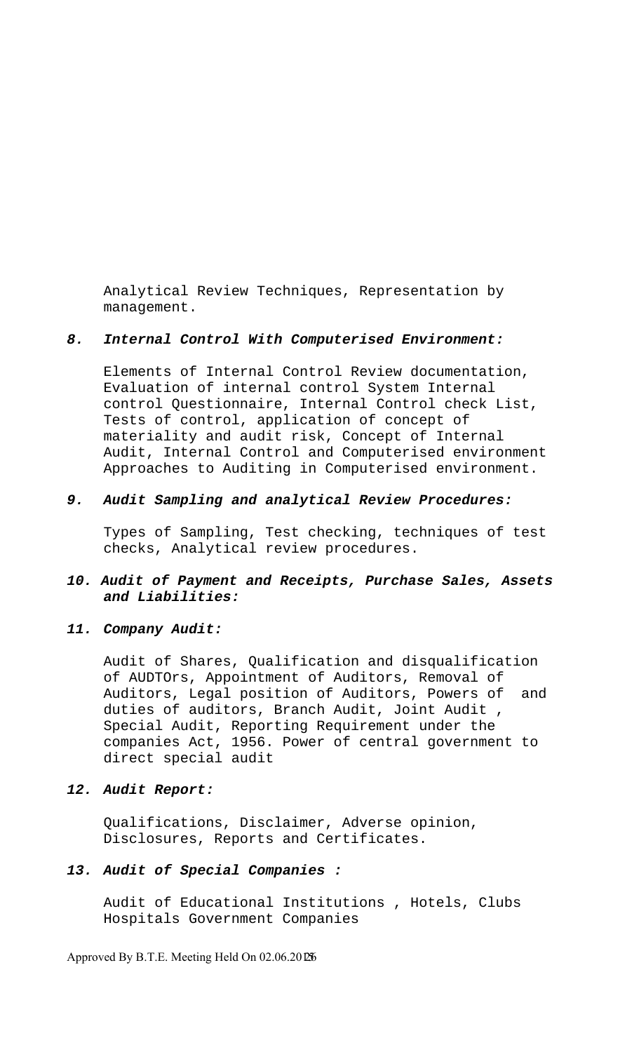Analytical Review Techniques, Representation by management.

#### *8. Internal Control With Computerised Environment:*

Elements of Internal Control Review documentation, Evaluation of internal control System Internal control Questionnaire, Internal Control check List, Tests of control, application of concept of materiality and audit risk, Concept of Internal Audit, Internal Control and Computerised environment Approaches to Auditing in Computerised environment.

#### *9. Audit Sampling and analytical Review Procedures:*

Types of Sampling, Test checking, techniques of test checks, Analytical review procedures.

# *10. Audit of Payment and Receipts, Purchase Sales, Assets and Liabilities:*

#### *11. Company Audit:*

Audit of Shares, Qualification and disqualification of AUDTOrs, Appointment of Auditors, Removal of Auditors, Legal position of Auditors, Powers of and duties of auditors, Branch Audit, Joint Audit , Special Audit, Reporting Requirement under the companies Act, 1956. Power of central government to direct special audit

## *12. Audit Report:*

Qualifications, Disclaimer, Adverse opinion, Disclosures, Reports and Certificates.

#### *13. Audit of Special Companies :*

Audit of Educational Institutions , Hotels, Clubs Hospitals Government Companies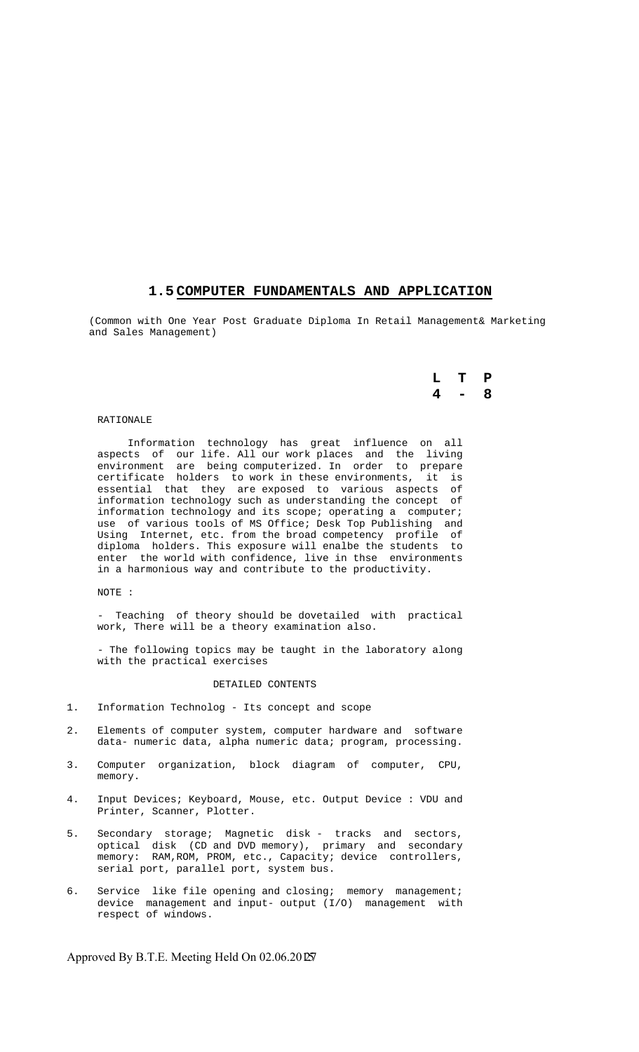#### **1.5 COMPUTER FUNDAMENTALS AND APPLICATION**

(Common with One Year Post Graduate Diploma In Retail Management& Marketing and Sales Management)

## **L T P 4 - 8**

#### RATIONALE

 Information technology has great influence on all aspects of our life. All our work places and the living environment are being computerized. In order to prepare certificate holders to work in these environments, it is essential that they are exposed to various aspects of information technology such as understanding the concept of information technology and its scope; operating a computer; use of various tools of MS Office; Desk Top Publishing and Using Internet, etc. from the broad competency profile of diploma holders. This exposure will enalbe the students to enter the world with confidence, live in thse environments in a harmonious way and contribute to the productivity.

#### NOTE :

 - Teaching of theory should be dovetailed with practical work, There will be a theory examination also.

 - The following topics may be taught in the laboratory along with the practical exercises

#### DETAILED CONTENTS

- 1. Information Technolog Its concept and scope
- 2. Elements of computer system, computer hardware and software data- numeric data, alpha numeric data; program, processing.
- 3. Computer organization, block diagram of computer, CPU, memory.
- 4. Input Devices; Keyboard, Mouse, etc. Output Device : VDU and Printer, Scanner, Plotter.
- 5. Secondary storage; Magnetic disk tracks and sectors, optical disk (CD and DVD memory), primary and secondary memory: RAM, ROM, PROM, etc., Capacity; device controllers, serial port, parallel port, system bus.
- 6. Service like file opening and closing; memory management; device management and input- output (I/O) management with respect of windows.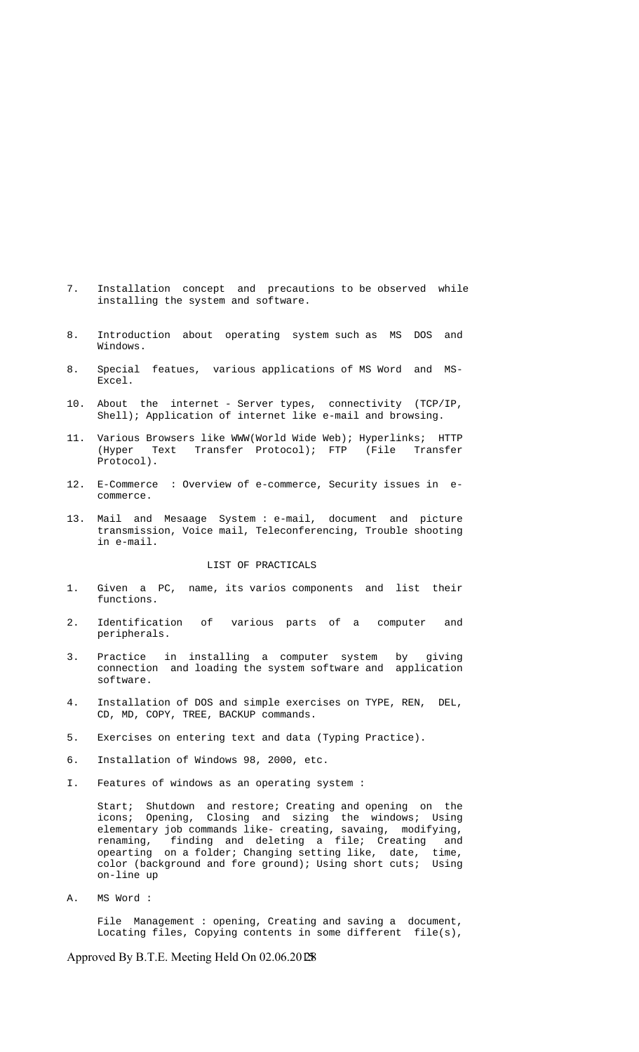- 7. Installation concept and precautions to be observed while installing the system and software.
- 8. Introduction about operating system such as MS DOS and Windows.
- 8. Special featues, various applications of MS Word and MS- Excel.
- 10. About the internet Server types, connectivity (TCP/IP, Shell); Application of internet like e-mail and browsing.
- 11. Various Browsers like WWW(World Wide Web); Hyperlinks; HTTP (Hyper Text Transfer Protocol); FTP (File Transfer Protocol).
- 12. E-Commerce : Overview of e-commerce, Security issues in e commerce.
- 13. Mail and Mesaage System : e-mail, document and picture transmission, Voice mail, Teleconferencing, Trouble shooting in e-mail.

#### LIST OF PRACTICALS

- 1. Given a PC, name, its varios components and list their functions.
- 2. Identification of various parts of a computer and peripherals.
- 3. Practice in installing a computer system by giving connection and loading the system software and application software.
- 4. Installation of DOS and simple exercises on TYPE, REN, DEL, CD, MD, COPY, TREE, BACKUP commands.
- 5. Exercises on entering text and data (Typing Practice).
- 6. Installation of Windows 98, 2000, etc.
- I. Features of windows as an operating system :

 Start; Shutdown and restore; Creating and opening on the icons; Opening, Closing and sizing the windows; Using elementary job commands like- creating, savaing, modifying, renaming, finding and deleting a file; Creating and opearting on a folder; Changing setting like, date, time, color (background and fore ground); Using short cuts; Using on-line up

A. MS Word :

File Management : opening, Creating and saving a document, Locating files, Copying contents in some different file(s),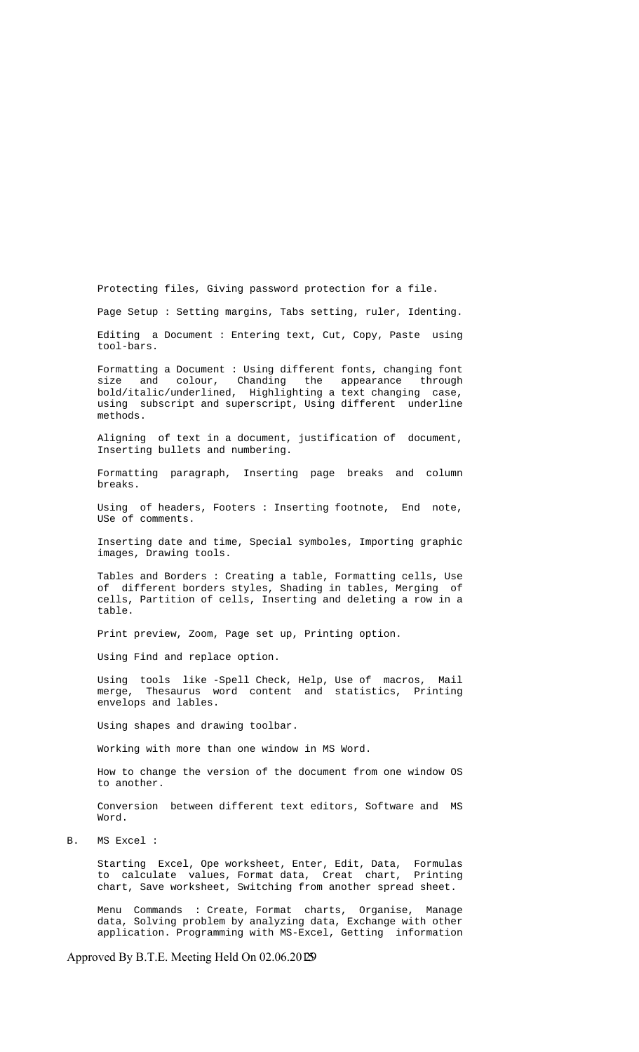Protecting files, Giving password protection for a file.

Page Setup : Setting margins, Tabs setting, ruler, Identing.

 Editing a Document : Entering text, Cut, Copy, Paste using tool-bars.

Formatting a Document : Using different fonts, changing font<br>size and colour, Chanding the appearance through size and colour, Chanding the appearance through bold/italic/underlined, Highlighting a text changing case, using subscript and superscript, Using different underline methods.

 Aligning of text in a document, justification of document, Inserting bullets and numbering.

 Formatting paragraph, Inserting page breaks and column breaks.

 Using of headers, Footers : Inserting footnote, End note, USe of comments.

 Inserting date and time, Special symboles, Importing graphic images, Drawing tools.

 Tables and Borders : Creating a table, Formatting cells, Use of different borders styles, Shading in tables, Merging of cells, Partition of cells, Inserting and deleting a row in a table.

Print preview, Zoom, Page set up, Printing option.

Using Find and replace option.

 Using tools like -Spell Check, Help, Use of macros, Mail merge, Thesaurus word content and statistics, Printing envelops and lables.

Using shapes and drawing toolbar.

Working with more than one window in MS Word.

 How to change the version of the document from one window OS to another.

 Conversion between different text editors, Software and MS Word.

B. MS Excel :

 Starting Excel, Ope worksheet, Enter, Edit, Data, Formulas to calculate values, Format data, Creat chart, Printing chart, Save worksheet, Switching from another spread sheet.

 Menu Commands : Create, Format charts, Organise, Manage data, Solving problem by analyzing data, Exchange with other application. Programming with MS-Excel, Getting information

Approved By B.T.E. Meeting Held On  $02.06.20\overline{\omega}$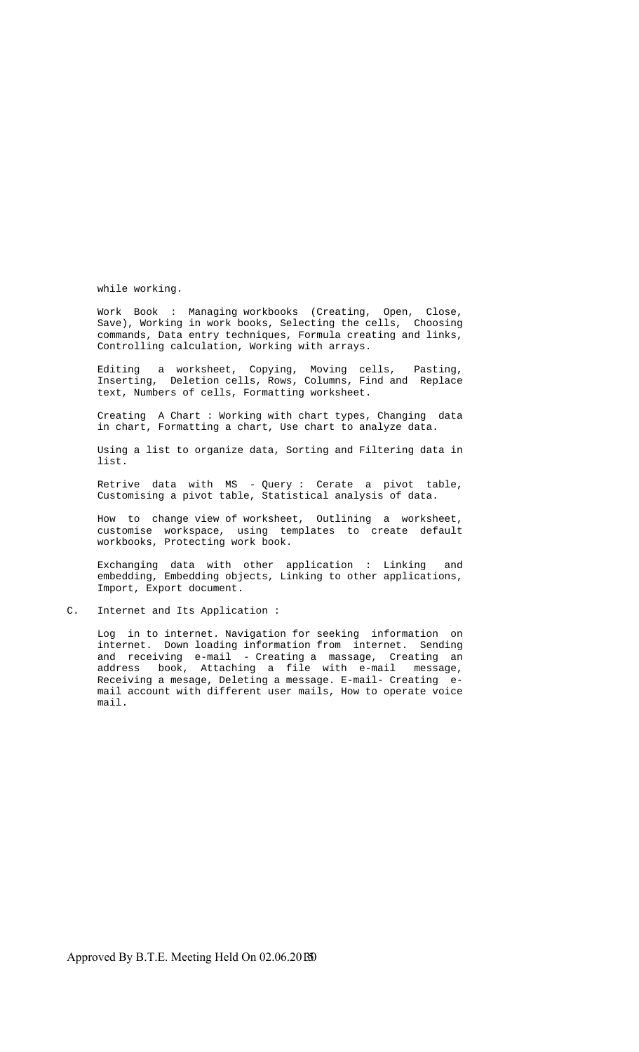while working.

 Work Book : Managing workbooks (Creating, Open, Close, Save), Working in work books, Selecting the cells, Choosing commands, Data entry techniques, Formula creating and links, Controlling calculation, Working with arrays.

 Editing a worksheet, Copying, Moving cells, Pasting, Inserting, Deletion cells, Rows, Columns, Find and Replace text, Numbers of cells, Formatting worksheet.

 Creating A Chart : Working with chart types, Changing data in chart, Formatting a chart, Use chart to analyze data.

 Using a list to organize data, Sorting and Filtering data in list.

 Retrive data with MS - Query : Cerate a pivot table, Customising a pivot table, Statistical analysis of data.

 How to change view of worksheet, Outlining a worksheet, customise workspace, using templates to create default workbooks, Protecting work book.

 Exchanging data with other application : Linking and embedding, Embedding objects, Linking to other applications, Import, Export document.

C. Internet and Its Application :

 Log in to internet. Navigation for seeking information on internet. Down loading information from internet. Sending and receiving e-mail - Creating a massage, Creating an address book, Attaching a file with e-mail message, Receiving a mesage, Deleting a message. E-mail- Creating e mail account with different user mails, How to operate voice mail.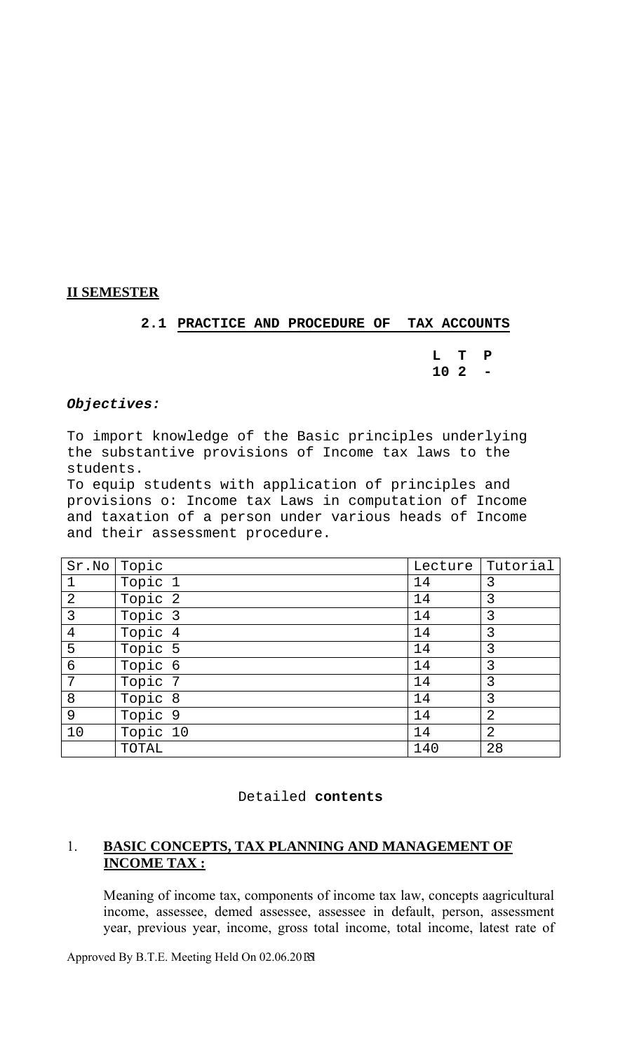# **II SEMESTER**

# **2.1 PRACTICE AND PROCEDURE OF TAX ACCOUNTS**

**L T P 10 2 -** 

# *Objectives:*

To import knowledge of the Basic principles underlying the substantive provisions of Income tax laws to the students.

To equip students with application of principles and provisions o: Income tax Laws in computation of Income and taxation of a person under various heads of Income and their assessment procedure.

| Sr.No          | Topic    | Lecture | Tutorial       |
|----------------|----------|---------|----------------|
| $\mathbf 1$    | Topic 1  | 14      | 3              |
| $\overline{2}$ | Topic 2  | 14      | 3              |
| 3              | Topic 3  | 14      | 3              |
| $\overline{4}$ | Topic 4  | 14      | 3              |
| 5              | Topic 5  | 14      | 3              |
| $\epsilon$     | Topic 6  | 14      | 3              |
| 7              | Topic 7  | 14      | 3              |
| 8              | Topic 8  | 14      | 3              |
| 9              | Topic 9  | 14      | $\overline{2}$ |
| 10             | Topic 10 | 14      | $\overline{2}$ |
|                | TOTAL    | 140     | 28             |

# 1. **BASIC CONCEPTS, TAX PLANNING AND MANAGEMENT OF INCOME TAX :**

Meaning of income tax, components of income tax law, concepts aagricultural income, assessee, demed assessee, assessee in default, person, assessment year, previous year, income, gross total income, total income, latest rate of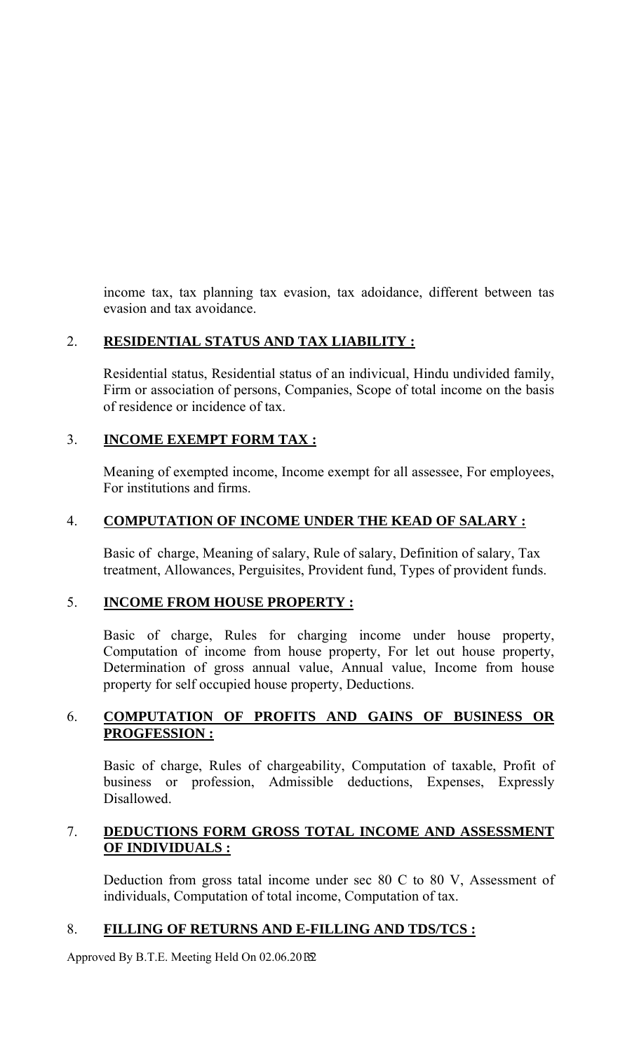income tax, tax planning tax evasion, tax adoidance, different between tas evasion and tax avoidance.

# 2. **RESIDENTIAL STATUS AND TAX LIABILITY :**

Residential status, Residential status of an indivicual, Hindu undivided family, Firm or association of persons, Companies, Scope of total income on the basis of residence or incidence of tax.

# 3. **INCOME EXEMPT FORM TAX :**

Meaning of exempted income, Income exempt for all assessee, For employees, For institutions and firms.

# 4. **COMPUTATION OF INCOME UNDER THE KEAD OF SALARY :**

Basic of charge, Meaning of salary, Rule of salary, Definition of salary, Tax treatment, Allowances, Perguisites, Provident fund, Types of provident funds.

# 5. **INCOME FROM HOUSE PROPERTY :**

Basic of charge, Rules for charging income under house property, Computation of income from house property, For let out house property, Determination of gross annual value, Annual value, Income from house property for self occupied house property, Deductions.

# 6. **COMPUTATION OF PROFITS AND GAINS OF BUSINESS OR PROGFESSION :**

Basic of charge, Rules of chargeability, Computation of taxable, Profit of business or profession, Admissible deductions, Expenses, Expressly Disallowed.

# 7. **DEDUCTIONS FORM GROSS TOTAL INCOME AND ASSESSMENT OF INDIVIDUALS :**

Deduction from gross tatal income under sec 80 C to 80 V, Assessment of individuals, Computation of total income, Computation of tax.

# 8. **FILLING OF RETURNS AND E-FILLING AND TDS/TCS :**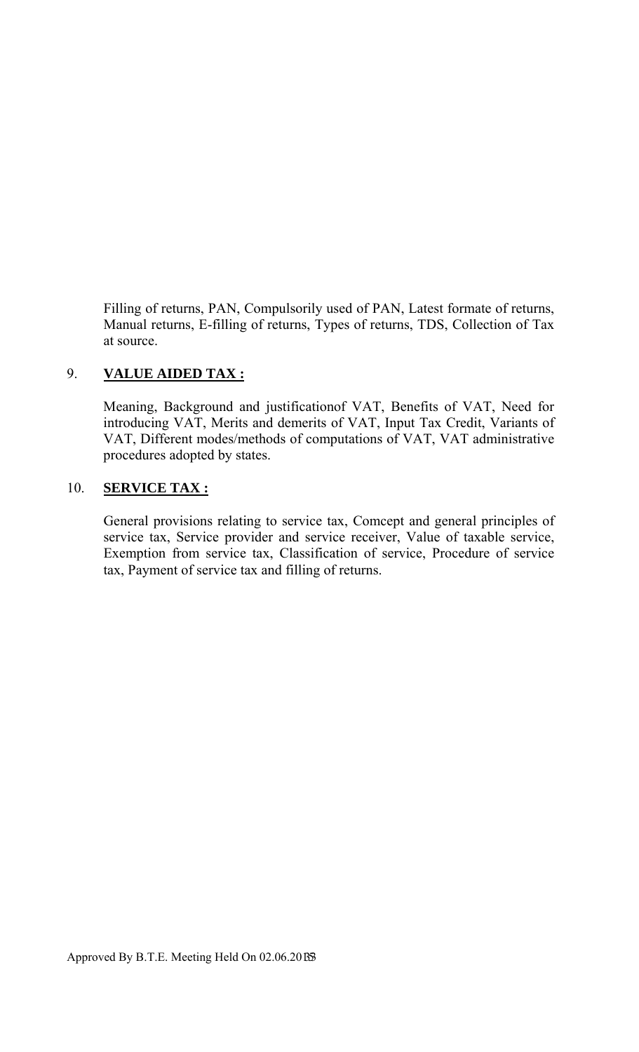Filling of returns, PAN, Compulsorily used of PAN, Latest formate of returns, Manual returns, E-filling of returns, Types of returns, TDS, Collection of Tax at source.

# 9. **VALUE AIDED TAX :**

Meaning, Background and justificationof VAT, Benefits of VAT, Need for introducing VAT, Merits and demerits of VAT, Input Tax Credit, Variants of VAT, Different modes/methods of computations of VAT, VAT administrative procedures adopted by states.

# 10. **SERVICE TAX :**

General provisions relating to service tax, Comcept and general principles of service tax, Service provider and service receiver, Value of taxable service, Exemption from service tax, Classification of service, Procedure of service tax, Payment of service tax and filling of returns.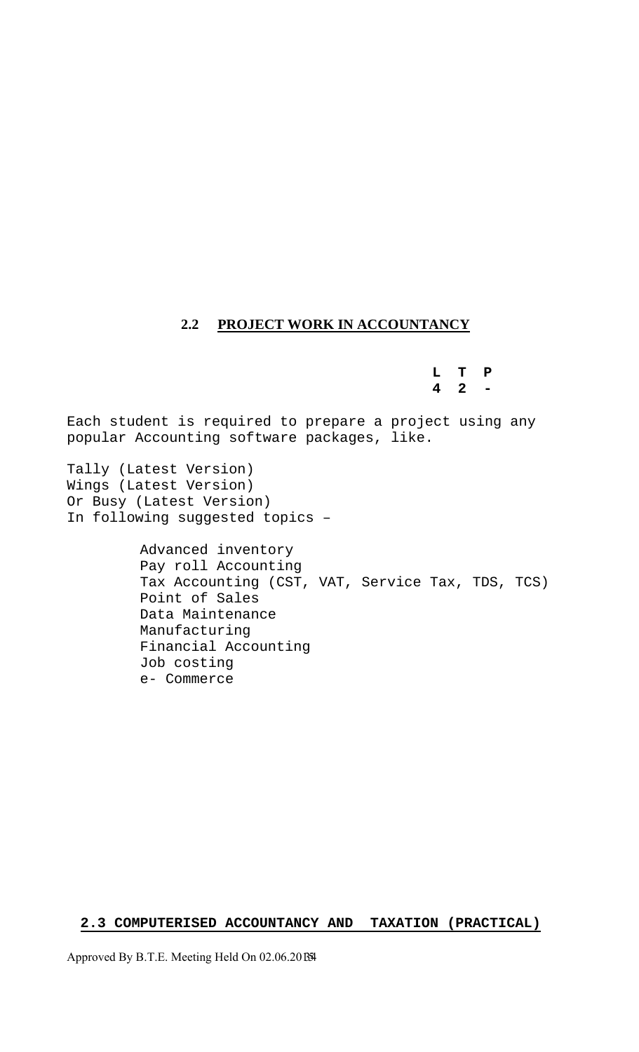# **2.2 PROJECT WORK IN ACCOUNTANCY**

**L T P 4 2 -** 

Each student is required to prepare a project using any popular Accounting software packages, like.

Tally (Latest Version) Wings (Latest Version) Or Busy (Latest Version) In following suggested topics –

> Advanced inventory Pay roll Accounting Tax Accounting (CST, VAT, Service Tax, TDS, TCS) Point of Sales Data Maintenance Manufacturing Financial Accounting Job costing e- Commerce

# **2.3 COMPUTERISED ACCOUNTANCY AND TAXATION (PRACTICAL)**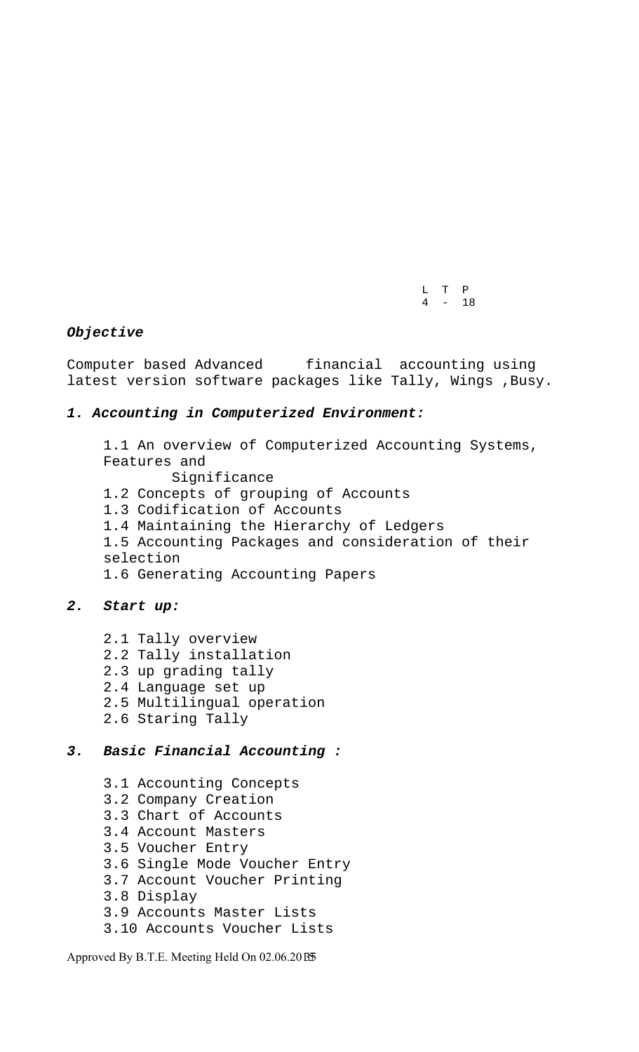L T P  $4 - 18$ 

#### *Objective*

Computer based Advanced financial accounting using latest version software packages like Tally, Wings , Busy.

## *1. Accounting in Computerized Environment:*

1.1 An overview of Computerized Accounting Systems, Features and Significance 1.2 Concepts of grouping of Accounts 1.3 Codification of Accounts 1.4 Maintaining the Hierarchy of Ledgers 1.5 Accounting Packages and consideration of their selection 1.6 Generating Accounting Papers

#### *2. Start up:*

- 2.1 Tally overview
- 2.2 Tally installation
- 2.3 up grading tally
- 2.4 Language set up
- 2.5 Multilingual operation
- 2.6 Staring Tally

## *3. Basic Financial Accounting :*

- 3.1 Accounting Concepts
- 3.2 Company Creation
- 3.3 Chart of Accounts
- 3.4 Account Masters
- 3.5 Voucher Entry
- 3.6 Single Mode Voucher Entry
- 3.7 Account Voucher Printing
- 3.8 Display
- 3.9 Accounts Master Lists
- 3.10 Accounts Voucher Lists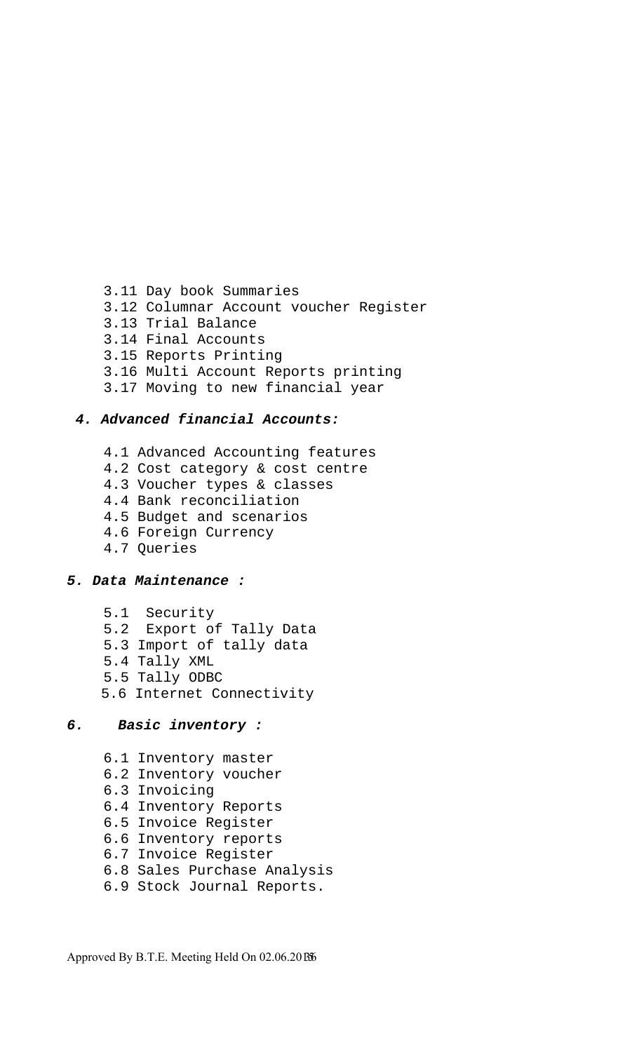3.11 Day book Summaries 3.12 Columnar Account voucher Register 3.13 Trial Balance 3.14 Final Accounts 3.15 Reports Printing 3.16 Multi Account Reports printing 3.17 Moving to new financial year

## *4. Advanced financial Accounts:*

- 4.1 Advanced Accounting features
- 4.2 Cost category & cost centre
- 4.3 Voucher types & classes
- 4.4 Bank reconciliation
- 4.5 Budget and scenarios
- 4.6 Foreign Currency
- 4.7 Queries

#### *5. Data Maintenance :*

- 5.1 Security
- 5.2 Export of Tally Data
- 5.3 Import of tally data
- 5.4 Tally XML
- 5.5 Tally ODBC
- 5.6 Internet Connectivity

#### *6. Basic inventory :*

- 6.1 Inventory master
- 6.2 Inventory voucher
- 6.3 Invoicing
- 6.4 Inventory Reports
- 6.5 Invoice Register
- 6.6 Inventory reports
- 6.7 Invoice Register
- 6.8 Sales Purchase Analysis
- 6.9 Stock Journal Reports.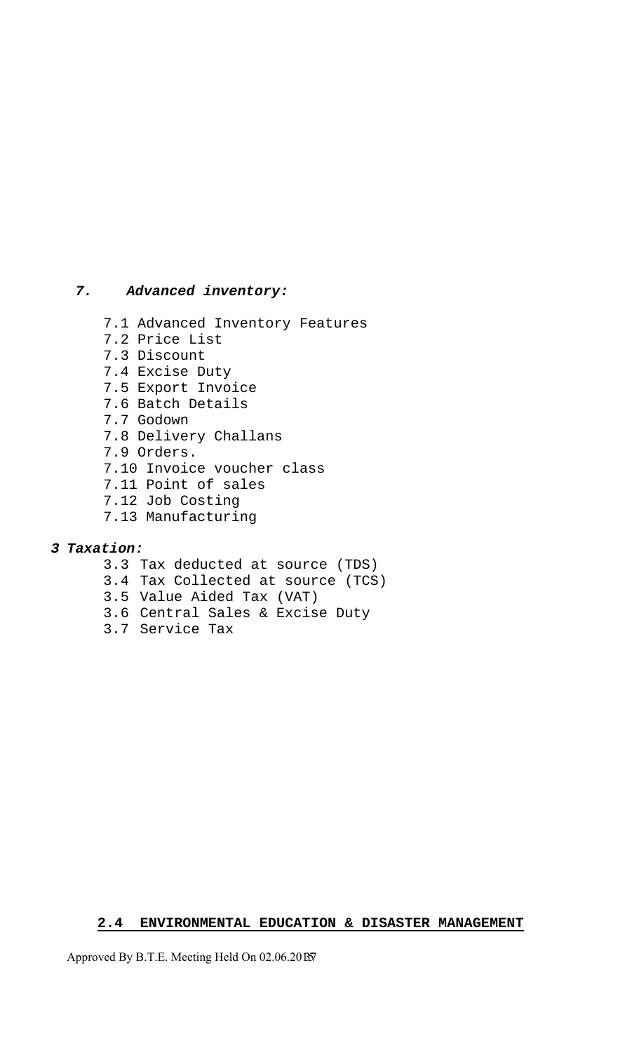## *7. Advanced inventory:*

- 7.1 Advanced Inventory Features
- 7.2 Price List
- 7.3 Discount
- 7.4 Excise Duty
- 7.5 Export Invoice
- 7.6 Batch Details
- 7.7 Godown
- 7.8 Delivery Challans
- 7.9 Orders.
- 7.10 Invoice voucher class
- 7.11 Point of sales
- 7.12 Job Costing
- 7.13 Manufacturing

## *3 Taxation:*

- 3.3 Tax deducted at source (TDS)
- 3.4 Tax Collected at source (TCS)
- 3.5 Value Aided Tax (VAT)
- 3.6 Central Sales & Excise Duty
- 3.7 Service Tax

# **2.4 ENVIRONMENTAL EDUCATION & DISASTER MANAGEMENT**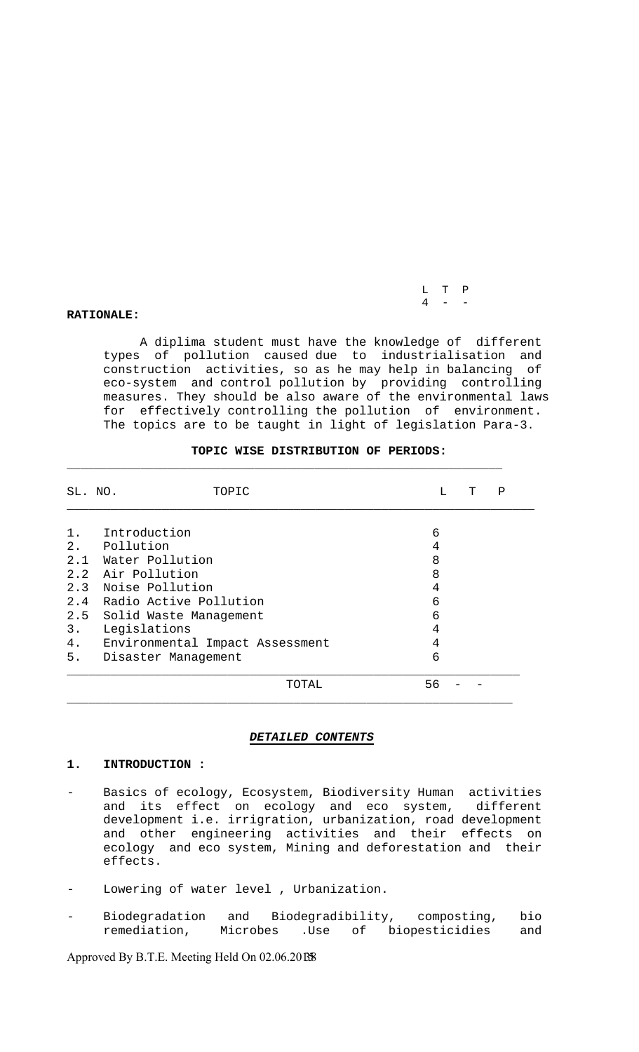L T P  $4 - -$ 

#### **RATIONALE:**

 A diplima student must have the knowledge of different types of pollution caused due to industrialisation and construction activities, so as he may help in balancing of eco-system and control pollution by providing controlling measures. They should be also aware of the environmental laws for effectively controlling the pollution of environment. The topics are to be taught in light of legislation Para-3.

| SL. NO. | TOPIC                           | L  | т | Ρ |
|---------|---------------------------------|----|---|---|
| $1$ .   | Introduction                    | 6  |   |   |
| 2.      | Pollution                       | 4  |   |   |
|         | 2.1 Water Pollution             | 8  |   |   |
|         | 2.2 Air Pollution               | 8  |   |   |
|         | 2.3 Noise Pollution             | 4  |   |   |
|         | 2.4 Radio Active Pollution      | 6  |   |   |
|         | 2.5 Solid Waste Management      | 6  |   |   |
| 3.      | Legislations                    | 4  |   |   |
| 4.      | Environmental Impact Assessment | 4  |   |   |
| 5.      | Disaster Management             | 6  |   |   |
|         | TOTAL                           | 56 |   |   |

#### **TOPIC WISE DISTRIBUTION OF PERIODS:**

#### *DETAILED CONTENTS*

#### **1. INTRODUCTION :**

- Basics of ecology, Ecosystem, Biodiversity Human activities and its effect on ecology and eco system, different development i.e. irrigration, urbanization, road development and other engineering activities and their effects on ecology and eco system, Mining and deforestation and their effects.
- Lowering of water level , Urbanization.
- Biodegradation and Biodegradibility, composting, bio<br>remediation, Microbes .Use of biopesticidies and remediation, Microbes .Use of biopesticidies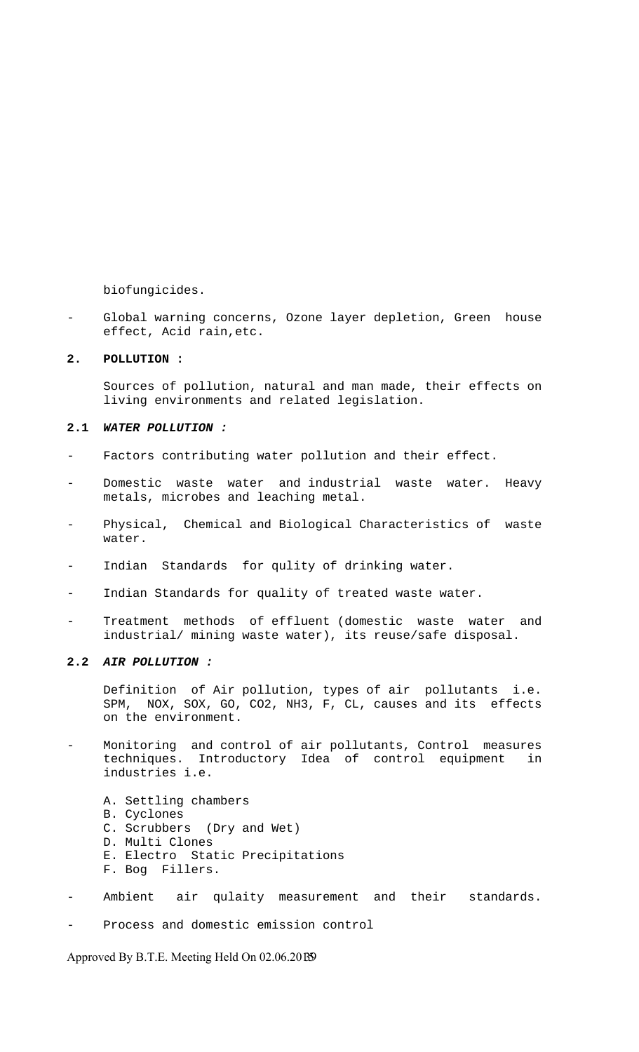biofungicides.

Global warning concerns, Ozone layer depletion, Green house effect, Acid rain,etc.

#### **2. POLLUTION :**

 Sources of pollution, natural and man made, their effects on living environments and related legislation.

#### **2.1** *WATER POLLUTION :*

- Factors contributing water pollution and their effect.
- Domestic waste water and industrial waste water. Heavy metals, microbes and leaching metal.
- Physical, Chemical and Biological Characteristics of waste water.
- Indian Standards for qulity of drinking water.
- Indian Standards for quality of treated waste water.
- Treatment methods of effluent (domestic waste water and industrial/ mining waste water), its reuse/safe disposal.

#### **2.2** *AIR POLLUTION :*

 Definition of Air pollution, types of air pollutants i.e. SPM, NOX, SOX, GO, CO2, NH3, F, CL, causes and its effects on the environment.

- Monitoring and control of air pollutants, Control measures techniques. Introductory Idea of control equipment in industries i.e.
	- A. Settling chambers
	- B. Cyclones
	- C. Scrubbers (Dry and Wet)
	- D. Multi Clones
	- E. Electro Static Precipitations
	- F. Bog Fillers.
- Ambient air qulaity measurement and their standards.
- Process and domestic emission control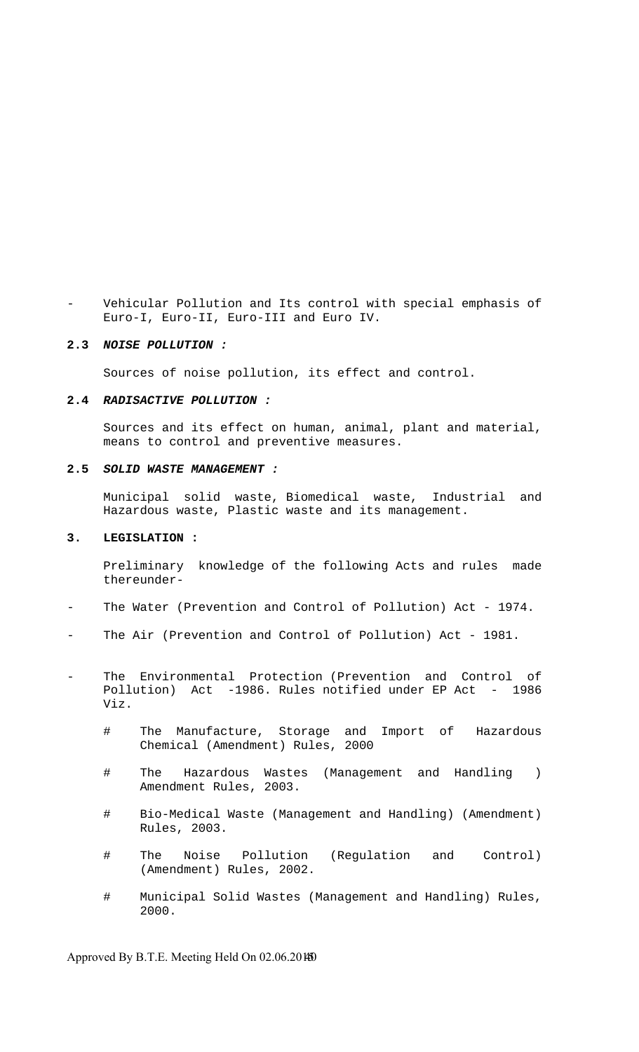Vehicular Pollution and Its control with special emphasis of Euro-I, Euro-II, Euro-III and Euro IV.

#### **2.3** *NOISE POLLUTION :*

Sources of noise pollution, its effect and control.

#### **2.4** *RADISACTIVE POLLUTION :*

 Sources and its effect on human, animal, plant and material, means to control and preventive measures.

#### **2.5** *SOLID WASTE MANAGEMENT :*

 Municipal solid waste, Biomedical waste, Industrial and Hazardous waste, Plastic waste and its management.

#### **3. LEGISLATION :**

 Preliminary knowledge of the following Acts and rules made thereunder-

- The Water (Prevention and Control of Pollution) Act 1974.
- The Air (Prevention and Control of Pollution) Act 1981.
- The Environmental Protection (Prevention and Control of Pollution) Act -1986. Rules notified under EP Act - 1986 Viz.
	- # The Manufacture, Storage and Import of Hazardous Chemical (Amendment) Rules, 2000
	- # The Hazardous Wastes (Management and Handling ) Amendment Rules, 2003.
	- # Bio-Medical Waste (Management and Handling) (Amendment) Rules, 2003.
	- # The Noise Pollution (Regulation and Control) (Amendment) Rules, 2002.
	- # Municipal Solid Wastes (Management and Handling) Rules, 2000.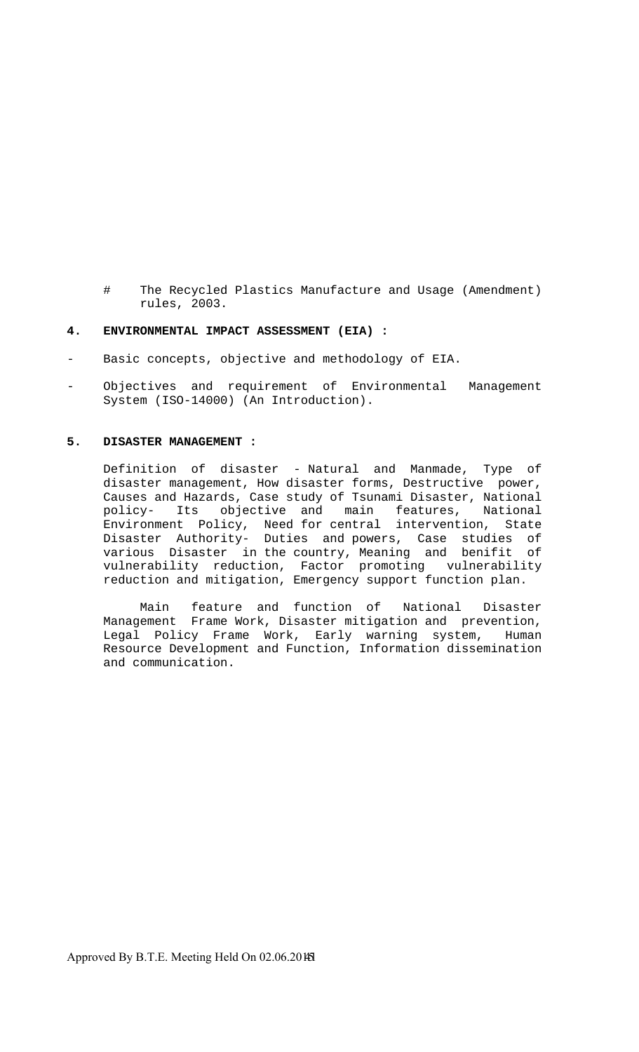# The Recycled Plastics Manufacture and Usage (Amendment) rules, 2003.

#### **4. ENVIRONMENTAL IMPACT ASSESSMENT (EIA) :**

- Basic concepts, objective and methodology of EIA.
- Objectives and requirement of Environmental Management System (ISO-14000) (An Introduction).

#### **5. DISASTER MANAGEMENT :**

 Definition of disaster - Natural and Manmade, Type of disaster management, How disaster forms, Destructive power, Causes and Hazards, Case study of Tsunami Disaster, National policy- Its objective and main features, National Environment Policy, Need for central intervention, State Disaster Authority- Duties and powers, Case studies of various Disaster in the country, Meaning and benifit of vulnerability reduction, Factor promoting vulnerability reduction and mitigation, Emergency support function plan.

 Main feature and function of National Disaster Management Frame Work, Disaster mitigation and prevention, Legal Policy Frame Work, Early warning system, Human Resource Development and Function, Information dissemination and communication.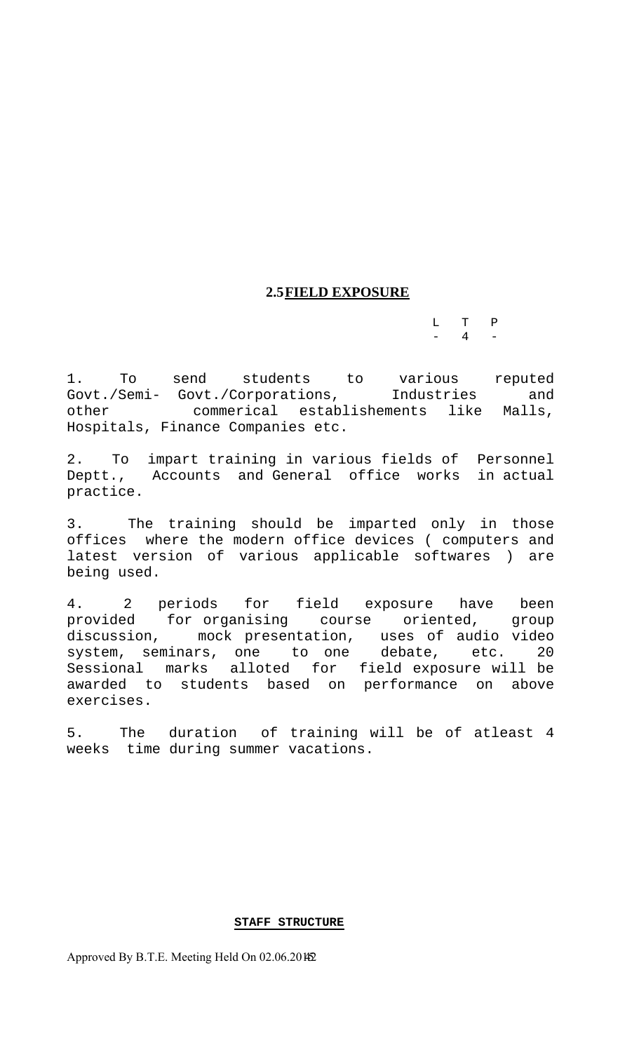# **2.5FIELD EXPOSURE**

 L T P  $-$  4  $-$ 

1. To send students to various reputed Govt./Semi- Govt./Corporations, Industries and other commerical establishements like Malls, Hospitals, Finance Companies etc.

2. To impart training in various fields of Personnel Deptt., Accounts and General office works in actual practice.

3. The training should be imparted only in those offices where the modern office devices ( computers and latest version of various applicable softwares ) are being used.

4. 2 periods for field exposure have been provided for organising course oriented, group discussion, mock presentation, uses of audio video system, seminars, one to one debate, etc. 20 Sessional marks alloted for field exposure will be awarded to students based on performance on above exercises.

5. The duration of training will be of atleast 4 weeks time during summer vacations.

#### **STAFF STRUCTURE**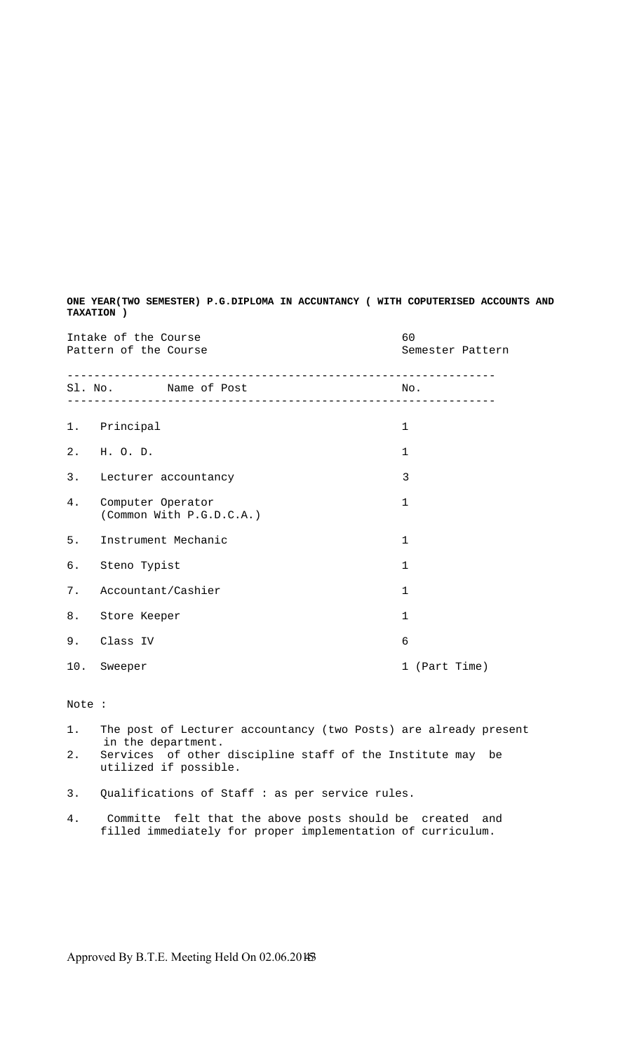| Intake of the Course<br>Pattern of the Course |                                                                                                     | 60<br>Semester Pattern |
|-----------------------------------------------|-----------------------------------------------------------------------------------------------------|------------------------|
|                                               | __________________________________<br>Sl. No. Name of Post<br>_____________________________________ | No.                    |
|                                               | 1. Principal                                                                                        | $\mathbf{1}$           |
|                                               | 2. H.O.D.                                                                                           | $\mathbf{1}$           |
|                                               | 3. Lecturer accountancy                                                                             | $\overline{3}$         |
| 4.                                            | Computer Operator<br>(Common With P.G.D.C.A.)                                                       | $\mathbf{1}$           |
| 5.                                            | Instrument Mechanic                                                                                 | $\mathbf 1$            |
| б.                                            | Steno Typist                                                                                        | $\mathbf{1}$           |
| 7.                                            | Accountant/Cashier                                                                                  | $\mathbf{1}$           |
| 8.                                            | Store Keeper                                                                                        | $\mathbf{1}$           |
| 9.                                            | Class IV                                                                                            | 6                      |
| 10.                                           | Sweeper                                                                                             | 1 (Part Time)          |

**ONE YEAR(TWO SEMESTER) P.G.DIPLOMA IN ACCUNTANCY ( WITH COPUTERISED ACCOUNTS AND TAXATION )** 

#### Note :

- 1. The post of Lecturer accountancy (two Posts) are already present in the department.
- 2. Services of other discipline staff of the Institute may be utilized if possible.
- 3. Qualifications of Staff : as per service rules.
- 4. Committe felt that the above posts should be created and filled immediately for proper implementation of curriculum.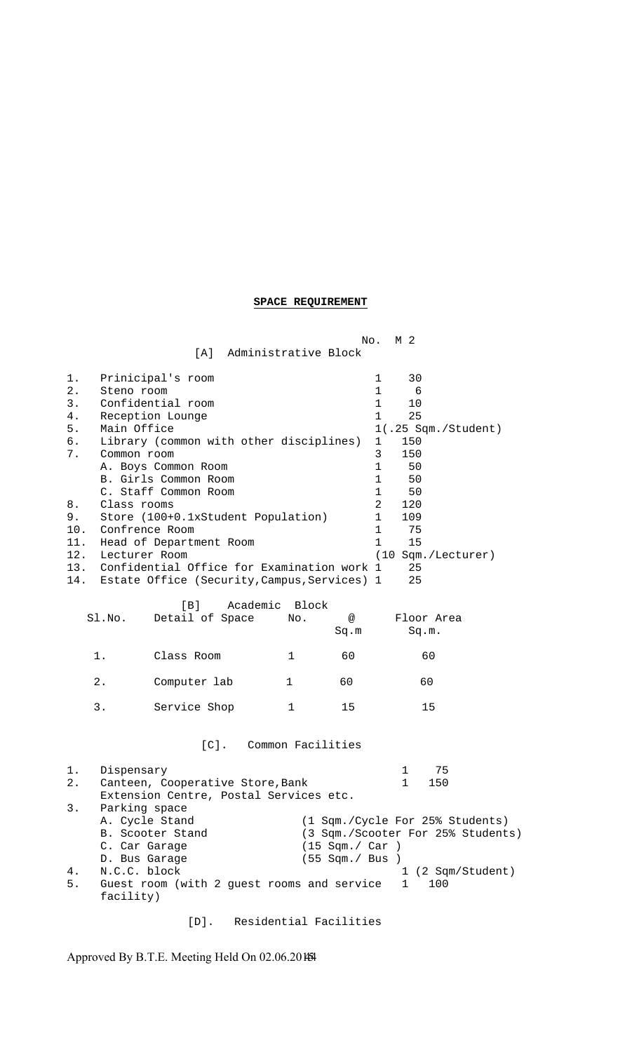# **SPACE REQUIREMENT**

|                                                                                             |                                                                                            |                                                                                                                                                                                                                                                                                                                                             |                       |                                    | No.<br>M 2                                                                                                                                                                                                                                                                                                                 |
|---------------------------------------------------------------------------------------------|--------------------------------------------------------------------------------------------|---------------------------------------------------------------------------------------------------------------------------------------------------------------------------------------------------------------------------------------------------------------------------------------------------------------------------------------------|-----------------------|------------------------------------|----------------------------------------------------------------------------------------------------------------------------------------------------------------------------------------------------------------------------------------------------------------------------------------------------------------------------|
|                                                                                             |                                                                                            | [A] Administrative Block                                                                                                                                                                                                                                                                                                                    |                       |                                    |                                                                                                                                                                                                                                                                                                                            |
| $1$ .<br>$2$ .<br>3.<br>4.<br>5.<br>б.<br>7.<br>8.<br>9.<br>10.<br>11.<br>12.<br>13.<br>14. | Steno room<br>Main Office<br>Common room<br>Class rooms<br>Confrence Room<br>Lecturer Room | Prinicipal's room<br>Confidential room<br>Reception Lounge<br>Library (common with other disciplines)<br>A. Boys Common Room<br>B. Girls Common Room<br>C. Staff Common Room<br>Store (100+0.1xStudent Population)<br>Head of Department Room<br>Confidential Office for Examination work 1<br>Estate Office (Security, Campus, Services) 1 |                       |                                    | 1<br>30<br>$\mathbf 1$<br>6<br>$\mathbf 1$<br>10<br>$\mathbf{1}$<br>25<br>1(.25 Sqm./Student)<br>$\mathbf 1$<br>150<br>150<br>3<br>$\mathbf 1$<br>50<br>$\mathbf 1$<br>50<br>$\mathbf 1$<br>50<br>$\overline{2}$<br>120<br>$\mathbf 1$<br>109<br>$\mathbf 1$<br>75<br>$\mathbf{1}$<br>15<br>(10 Sqm./Lecturer)<br>25<br>25 |
|                                                                                             | Sl.No.                                                                                     | [B]<br>Detail of Space                                                                                                                                                                                                                                                                                                                      | Academic Block<br>No. | @<br>Sq.m                          | Floor Area<br>Sq.m.                                                                                                                                                                                                                                                                                                        |
|                                                                                             | 1.                                                                                         | Class Room                                                                                                                                                                                                                                                                                                                                  | $\mathbf{1}$          | 60                                 | 60                                                                                                                                                                                                                                                                                                                         |
|                                                                                             | 2.                                                                                         | Computer lab                                                                                                                                                                                                                                                                                                                                | 1                     | 60                                 | 60                                                                                                                                                                                                                                                                                                                         |
|                                                                                             | $3$ .                                                                                      | Service Shop                                                                                                                                                                                                                                                                                                                                | $\mathbf 1$           | 15                                 | 15                                                                                                                                                                                                                                                                                                                         |
|                                                                                             |                                                                                            | $[C]$ .                                                                                                                                                                                                                                                                                                                                     | Common Facilities     |                                    |                                                                                                                                                                                                                                                                                                                            |
| 1.<br>2.<br>3.                                                                              | Dispensary<br>Parking space                                                                | Canteen, Cooperative Store, Bank<br>Extension Centre, Postal Services etc.                                                                                                                                                                                                                                                                  |                       |                                    | 75<br>1<br>1<br>150                                                                                                                                                                                                                                                                                                        |
| 4.                                                                                          | A. Cycle Stand<br>C. Car Garage<br>D. Bus Garage<br>N.C.C. block                           | B. Scooter Stand                                                                                                                                                                                                                                                                                                                            |                       | (15 Sgm. / Car)<br>(55 Sqm./ Bus ) | (1 Sqm./Cycle For 25% Students)<br>(3 Sqm./Scooter For 25% Students)<br>1 (2 Sqm/Student)                                                                                                                                                                                                                                  |
| 5.                                                                                          |                                                                                            | Guest room (with 2 guest rooms and service                                                                                                                                                                                                                                                                                                  |                       |                                    | 1<br>100                                                                                                                                                                                                                                                                                                                   |

facility)

[D]. Residential Facilities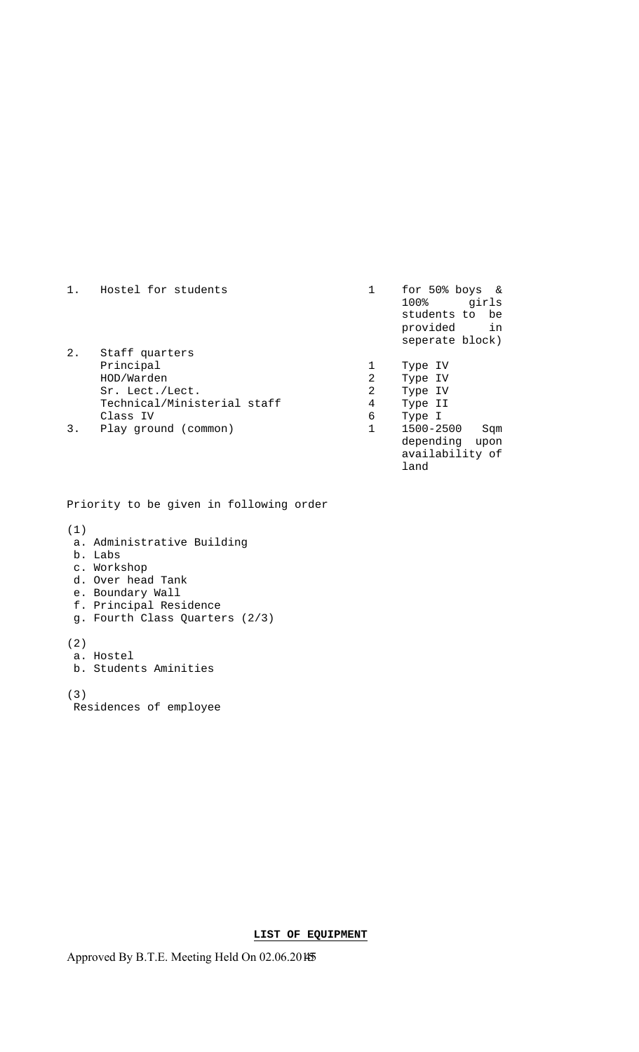| 1. | Hostel for students                                                                                     |                  | for $50\$ boys &<br>100%<br>girls<br>students to be<br>in<br>provided<br>seperate block) |
|----|---------------------------------------------------------------------------------------------------------|------------------|------------------------------------------------------------------------------------------|
| 2. | Staff quarters<br>Principal<br>HOD/Warden<br>Sr. Lect./Lect.<br>Technical/Ministerial staff<br>Class IV | 2<br>2<br>4<br>6 | Type IV<br>Type IV<br>Type IV<br>Type II<br>Type I                                       |
| 3. | Play ground (common)                                                                                    |                  | 1500-2500<br>Sqm<br>depending<br>upon<br>availability of                                 |

land

Priority to be given in following order

- (1)
- a. Administrative Building
- b. Labs
- c. Workshop
- d. Over head Tank
- e. Boundary Wall
- f. Principal Residence g. Fourth Class Quarters (2/3)
- 

(2) a. Hostel

b. Students Aminities

(3)

Residences of employee

**LIST OF EQUIPMENT**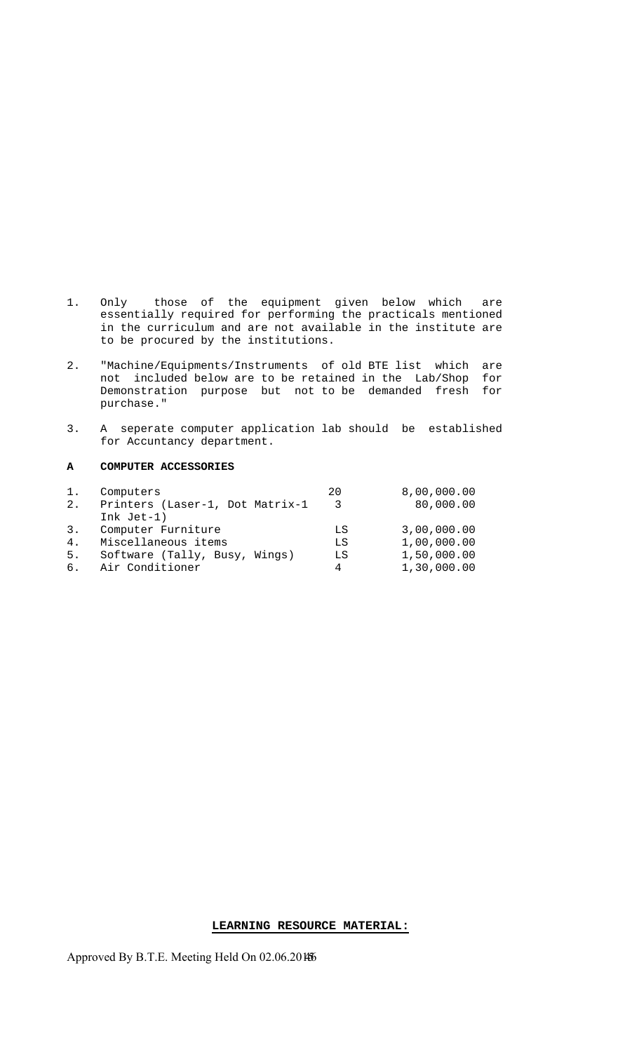- 1. Only those of the equipment given below which are essentially required for performing the practicals mentioned in the curriculum and are not available in the institute are to be procured by the institutions.
- 2. "Machine/Equipments/Instruments of old BTE list which are not included below are to be retained in the Lab/Shop for Demonstration purpose but not to be demanded fresh for purchase."
- 3. A seperate computer application lab should be established for Accuntancy department.

#### **A COMPUTER ACCESSORIES**

| 1.             | Computers                       | 20   | 8,00,000.00 |
|----------------|---------------------------------|------|-------------|
| 2.             | Printers (Laser-1, Dot Matrix-1 | - 3- | 80,000.00   |
|                | Ink $Jet-1)$                    |      |             |
| 3.             | Computer Furniture              | LS   | 3,00,000.00 |
| 4 <sub>1</sub> | Miscellaneous items             | LS   | 1,00,000.00 |
| 5.             | Software (Tally, Busy, Wings)   | LS   | 1,50,000.00 |
| 6.             | Air Conditioner                 | 4    | 1,30,000.00 |

## **LEARNING RESOURCE MATERIAL:**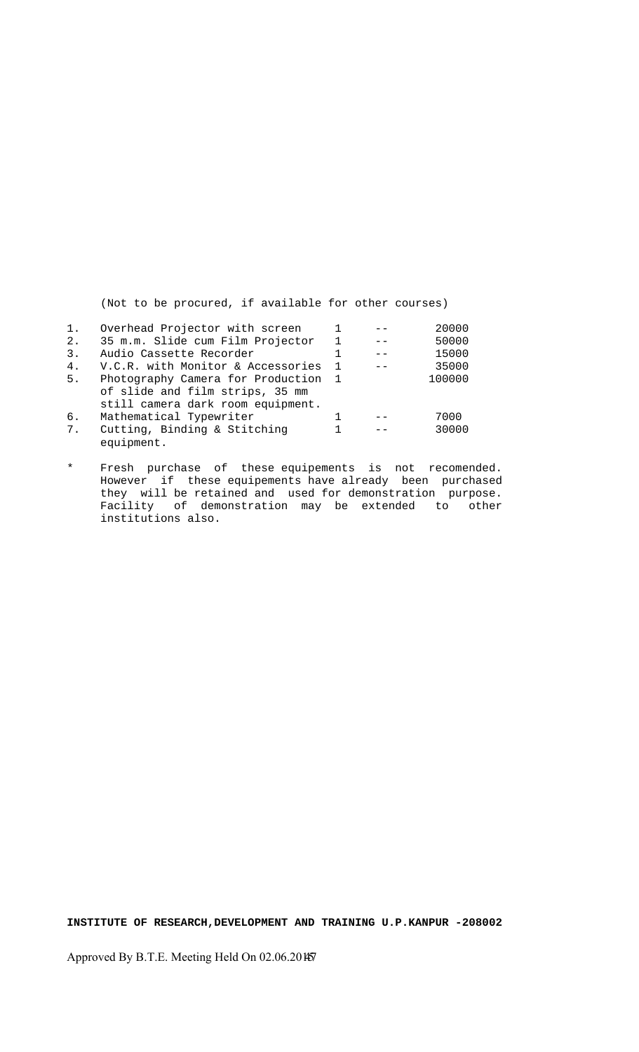(Not to be procured, if available for other courses)

| 1. | Overhead Projector with screen    |                | 20000  |
|----|-----------------------------------|----------------|--------|
| 2. | 35 m.m. Slide cum Film Projector  |                | 50000  |
| 3. | Audio Cassette Recorder           |                | 15000  |
| 4. | V.C.R. with Monitor & Accessories | $\overline{1}$ | 35000  |
| 5. | Photography Camera for Production | $\overline{1}$ | 100000 |
|    | of slide and film strips, 35 mm   |                |        |
|    | still camera dark room equipment. |                |        |
| 6. | Mathematical Typewriter           |                | 7000   |
| 7. | Cutting, Binding & Stitching      |                | 30000  |
|    | equipment.                        |                |        |

\* Fresh purchase of these equipements is not recomended. However if these equipements have already been purchased they will be retained and used for demonstration purpose. Facility of demonstration may be extended to other institutions also.

**INSTITUTE OF RESEARCH,DEVELOPMENT AND TRAINING U.P.KANPUR -208002**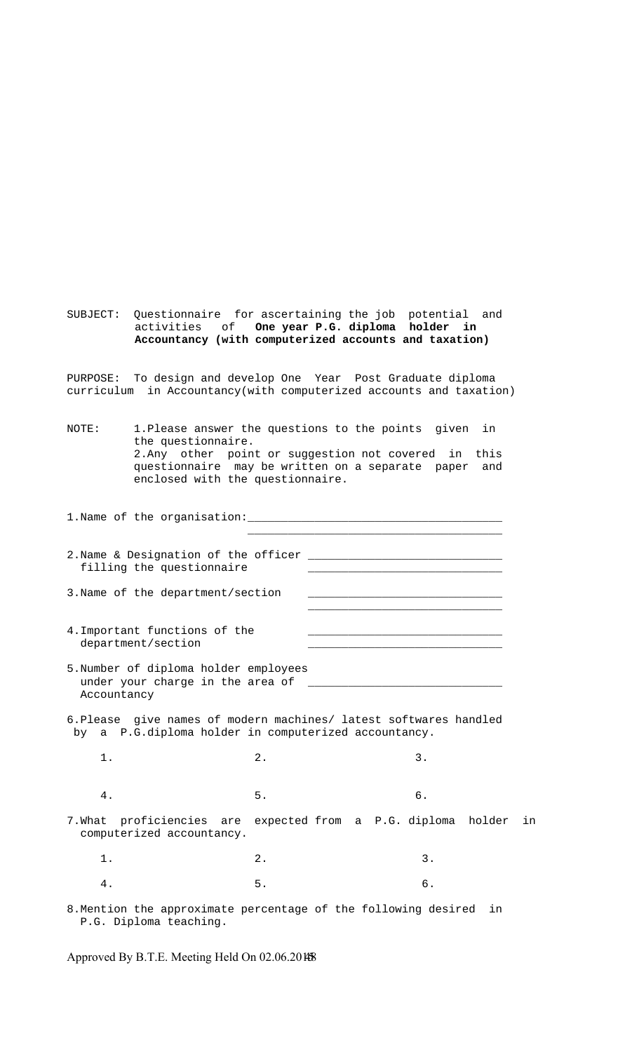SUBJECT: Questionnaire for ascertaining the job potential and activities of **One year P.G. diploma holder in Accountancy (with computerized accounts and taxation)** 

PURPOSE: To design and develop One Year Post Graduate diploma curriculum in Accountancy(with computerized accounts and taxation)

NOTE: 1.Please answer the questions to the points given in the questionnaire. 2.Any other point or suggestion not covered in this questionnaire may be written on a separate paper and enclosed with the questionnaire.

1.Name of the organisation:\_\_\_\_\_\_\_\_\_\_\_\_\_\_\_\_\_\_\_\_\_\_\_\_\_\_\_\_\_\_\_\_\_\_\_\_\_\_  $\overline{\phantom{a}}$  , which is a set of the set of the set of the set of the set of the set of the set of the set of the set of the set of the set of the set of the set of the set of the set of the set of the set of the set of th 2.Name & Designation of the officer \_\_\_\_\_\_\_\_\_\_\_\_\_\_\_\_\_\_\_\_\_\_\_\_\_\_\_\_\_ filling the questionnaire 3. Name of the department/section  $\frac{1}{\sqrt{2}}$  ,  $\frac{1}{\sqrt{2}}$  ,  $\frac{1}{\sqrt{2}}$  ,  $\frac{1}{\sqrt{2}}$  ,  $\frac{1}{\sqrt{2}}$  ,  $\frac{1}{\sqrt{2}}$  ,  $\frac{1}{\sqrt{2}}$  ,  $\frac{1}{\sqrt{2}}$  ,  $\frac{1}{\sqrt{2}}$  ,  $\frac{1}{\sqrt{2}}$  ,  $\frac{1}{\sqrt{2}}$  ,  $\frac{1}{\sqrt{2}}$  ,  $\frac{1}{\sqrt{2}}$  ,  $\frac{1}{\sqrt{2}}$  ,  $\frac{1}{\sqrt{2}}$ 4. Important functions of the department/section \_\_\_\_\_\_\_\_\_\_\_\_\_\_\_\_\_\_\_\_\_\_\_\_\_\_\_\_\_ 5.Number of diploma holder employees under your charge in the area of Accountancy 6.Please give names of modern machines/ latest softwares handled by a P.G.diploma holder in computerized accountancy. 1. 2. 3. 4. 5. 6. 7.What proficiencies are expected from a P.G. diploma holder in computerized accountancy. 1. 2. 3.

8.Mention the approximate percentage of the following desired in P.G. Diploma teaching.

4. 5. 6.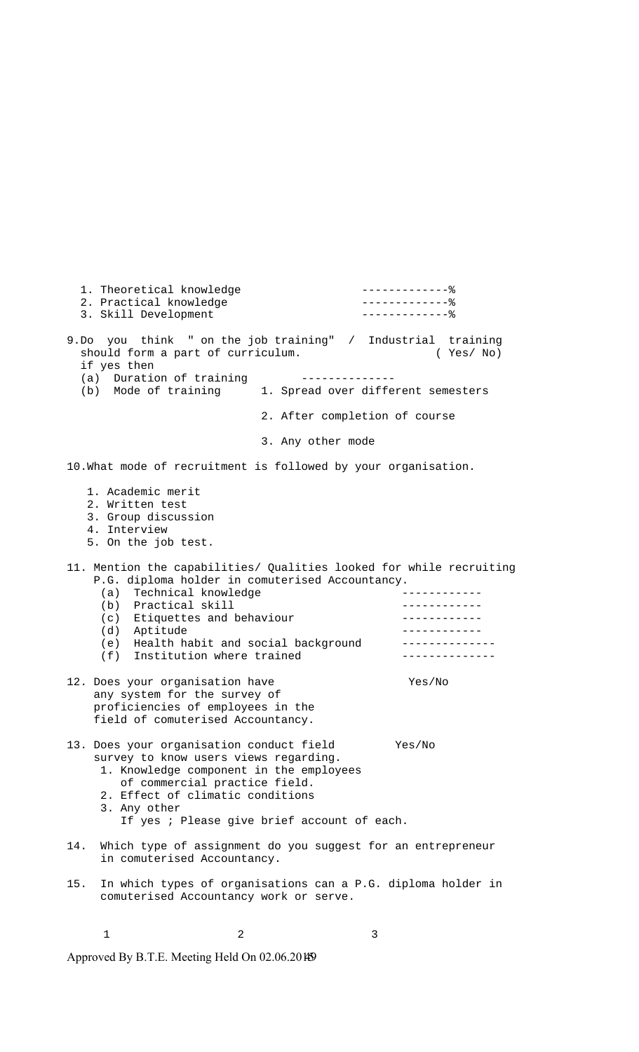1. Theoretical knowledge -------------% 2. Practical knowledge -------------% 3. Skill Development --------------- % 9.Do you think " on the job training" / Industrial training should form a part of curriculum. (Yes/ No) if yes then (a) Duration of training<br>(b) Mode of training 1. Spread over different semesters 2. After completion of course 3. Any other mode 10.What mode of recruitment is followed by your organisation. 1. Academic merit 2. Written test 3. Group discussion 4. Interview 5. On the job test. 11. Mention the capabilities/ Qualities looked for while recruiting P.G. diploma holder in comuterised Accountancy.<br>(3) Technical knowledge (a) Technical knowledge (b) Practical skill ------------(c) Etiquettes and behaviour -------------(d) Aptitude ------------ (e) Health habit and social background -------------- (f) Institution where trained -------------- 12. Does your organisation have Yes/No any system for the survey of proficiencies of employees in the field of comuterised Accountancy. 13. Does your organisation conduct field Yes/No survey to know users views regarding. 1. Knowledge component in the employees of commercial practice field. 2. Effect of climatic conditions 3. Any other If yes ; Please give brief account of each. 14. Which type of assignment do you suggest for an entrepreneur in comuterised Accountancy. 15. In which types of organisations can a P.G. diploma holder in comuterised Accountancy work or serve.

Approved By B.T.E. Meeting Held On 02.06.20149

 $1$  and  $2$  3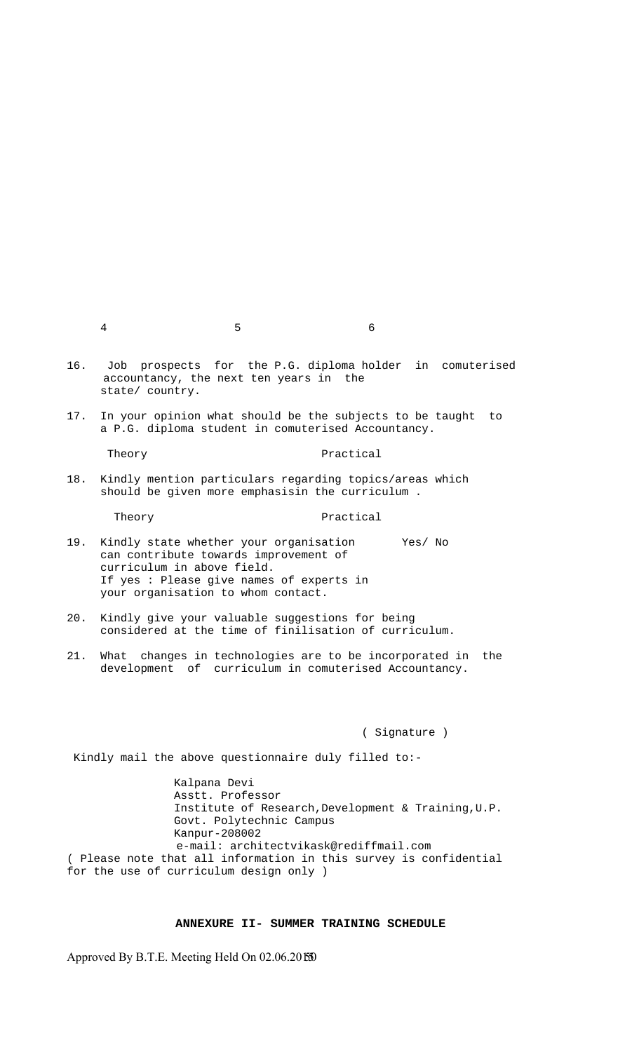16. Job prospects for the P.G. diploma holder in comuterised accountancy, the next ten years in the state/ country.

17. In your opinion what should be the subjects to be taught to a P.G. diploma student in comuterised Accountancy.

Theory Practical

18. Kindly mention particulars regarding topics/areas which should be given more emphasisin the curriculum .

Theory **Practical** 

- 19. Kindly state whether your organisation Yes/ No can contribute towards improvement of curriculum in above field. If yes : Please give names of experts in your organisation to whom contact.
- 20. Kindly give your valuable suggestions for being considered at the time of finilisation of curriculum.
- 21. What changes in technologies are to be incorporated in the development of curriculum in comuterised Accountancy.

( Signature )

Kindly mail the above questionnaire duly filled to:-

 Kalpana Devi Asstt. Professor Institute of Research,Development & Training,U.P. Govt. Polytechnic Campus Kanpur-208002 e-mail: architectvikask@rediffmail.com ( Please note that all information in this survey is confidential for the use of curriculum design only )

#### **ANNEXURE II- SUMMER TRAINING SCHEDULE**

Approved By B.T.E. Meeting Held On 02.06.2015 50

4 5 6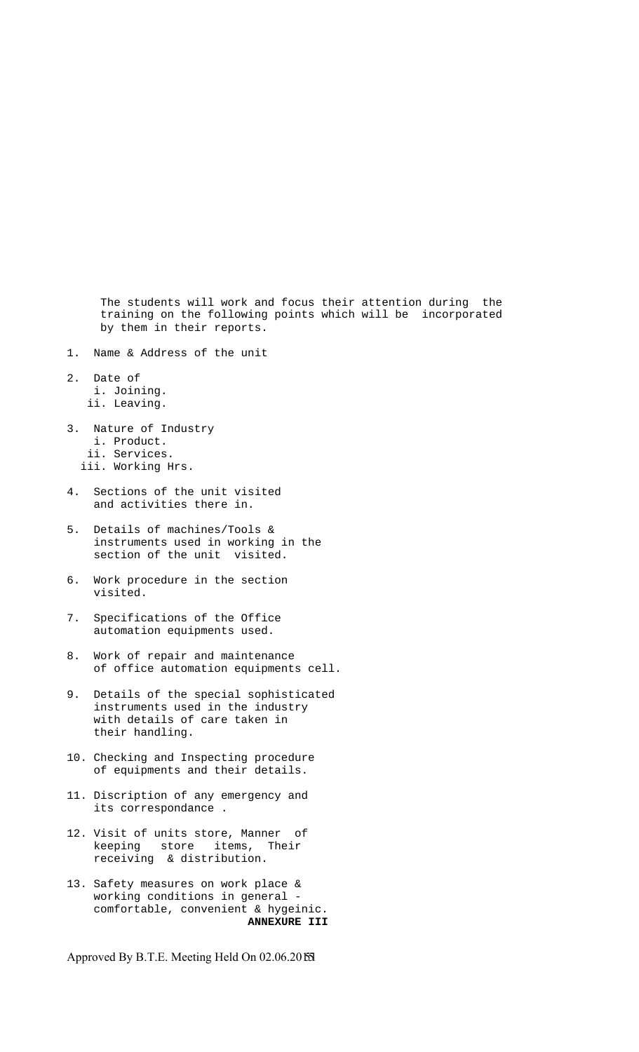The students will work and focus their attention during the training on the following points which will be incorporated by them in their reports.

- 1. Name & Address of the unit
- 2. Date of i. Joining.
	- ii. Leaving.
- 3. Nature of Industry i. Product.
	- ii. Services.
	- iii. Working Hrs.
- 4. Sections of the unit visited and activities there in.
- 5. Details of machines/Tools & instruments used in working in the section of the unit visited.
- 6. Work procedure in the section visited.
- 7. Specifications of the Office automation equipments used.
- 8. Work of repair and maintenance of office automation equipments cell.
- 9. Details of the special sophisticated instruments used in the industry with details of care taken in their handling.
- 10. Checking and Inspecting procedure of equipments and their details.
- 11. Discription of any emergency and its correspondance .
- 12. Visit of units store, Manner of keeping store items, Their receiving & distribution.
- 13. Safety measures on work place & working conditions in general comfortable, convenient & hygeinic. **ANNEXURE III**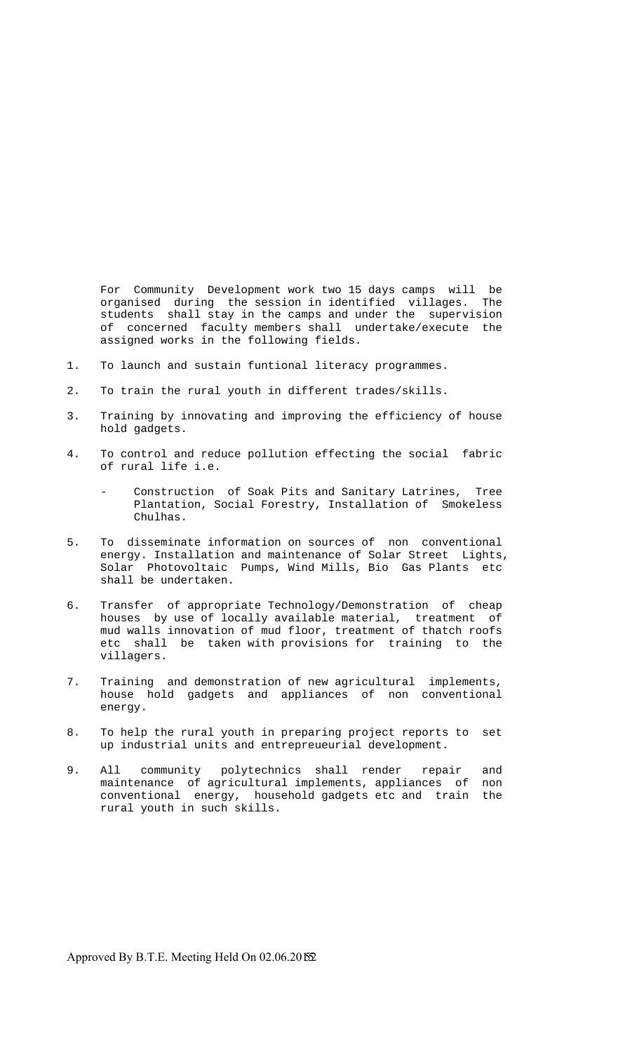For Community Development work two 15 days camps will be organised during the session in identified villages. The students shall stay in the camps and under the supervision of concerned faculty members shall undertake/execute the assigned works in the following fields.

- 1. To launch and sustain funtional literacy programmes.
- 2. To train the rural youth in different trades/skills.
- 3. Training by innovating and improving the efficiency of house hold gadgets.
- 4. To control and reduce pollution effecting the social fabric of rural life i.e.
	- Construction of Soak Pits and Sanitary Latrines, Tree Plantation, Social Forestry, Installation of Smokeless Chulhas.
- 5. To disseminate information on sources of non conventional energy. Installation and maintenance of Solar Street Lights, Solar Photovoltaic Pumps, Wind Mills, Bio Gas Plants etc shall be undertaken.
- 6. Transfer of appropriate Technology/Demonstration of cheap houses by use of locally available material, treatment of mud walls innovation of mud floor, treatment of thatch roofs etc shall be taken with provisions for training to the villagers.
- 7. Training and demonstration of new agricultural implements, house hold gadgets and appliances of non conventional energy.
- 8. To help the rural youth in preparing project reports to set up industrial units and entrepreueurial development.
- 9. All community polytechnics shall render repair and maintenance of agricultural implements, appliances of non conventional energy, household gadgets etc and train the rural youth in such skills.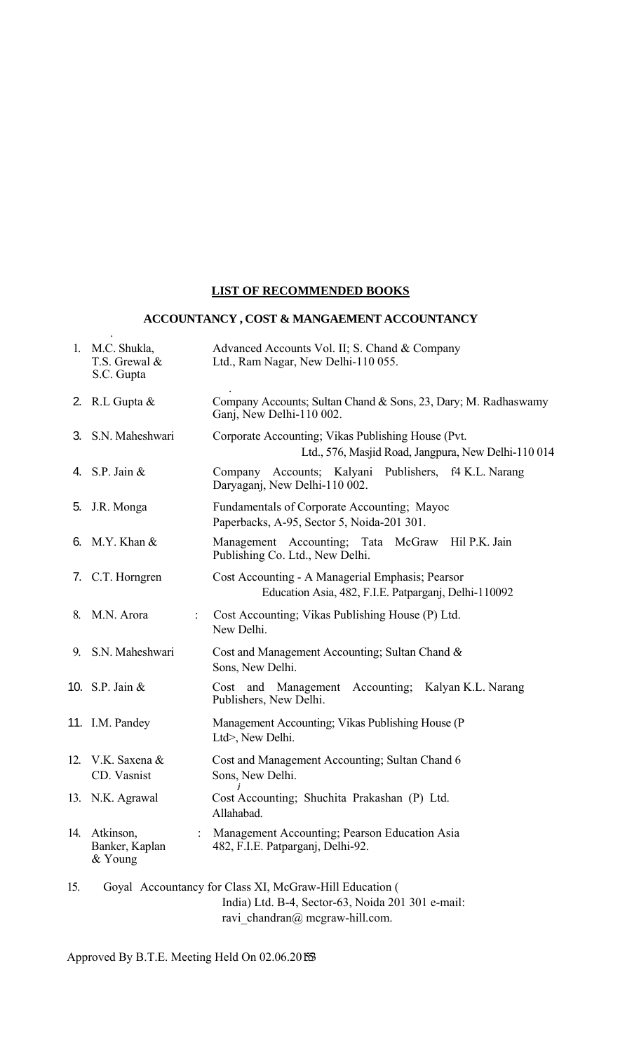# **LIST OF RECOMMENDED BOOKS**

# **ACCOUNTANCY , COST & MANGAEMENT ACCOUNTANCY**

.

|     | 1. M.C. Shukla,<br>T.S. Grewal &<br>S.C. Gupta | Advanced Accounts Vol. II; S. Chand & Company<br>Ltd., Ram Nagar, New Delhi-110 055.                                                               |
|-----|------------------------------------------------|----------------------------------------------------------------------------------------------------------------------------------------------------|
|     | 2. R.L. Gupta $&$                              | Company Accounts; Sultan Chand & Sons, 23, Dary; M. Radhaswamy<br>Ganj, New Delhi-110 002.                                                         |
|     | 3. S.N. Maheshwari                             | Corporate Accounting; Vikas Publishing House (Pvt.<br>Ltd., 576, Masjid Road, Jangpura, New Delhi-110 014                                          |
|     | 4. S.P. Jain $&$                               | Company Accounts; Kalyani Publishers, f4 K.L. Narang<br>Daryaganj, New Delhi-110 002.                                                              |
| 5.  | J.R. Monga                                     | Fundamentals of Corporate Accounting; Mayoc<br>Paperbacks, A-95, Sector 5, Noida-201 301.                                                          |
|     | 6. M.Y. Khan &                                 | Management Accounting; Tata McGraw Hil P.K. Jain<br>Publishing Co. Ltd., New Delhi.                                                                |
|     | 7. C.T. Horngren                               | Cost Accounting - A Managerial Emphasis; Pearsor<br>Education Asia, 482, F.I.E. Patparganj, Delhi-110092                                           |
|     | 8. M.N. Arora                                  | Cost Accounting; Vikas Publishing House (P) Ltd.<br>New Delhi.                                                                                     |
|     | 9. S.N. Maheshwari                             | Cost and Management Accounting; Sultan Chand $\&$<br>Sons, New Delhi.                                                                              |
|     | 10. S.P. Jain $&$                              | Cost and Management Accounting; Kalyan K.L. Narang<br>Publishers, New Delhi.                                                                       |
|     | 11. I.M. Pandey                                | Management Accounting; Vikas Publishing House (P<br>Ltd>, New Delhi.                                                                               |
|     | 12. V.K. Saxena &<br>CD. Vasnist               | Cost and Management Accounting; Sultan Chand 6<br>Sons, New Delhi.                                                                                 |
|     | 13. N.K. Agrawal                               | Cost Accounting; Shuchita Prakashan (P) Ltd.<br>Allahabad.                                                                                         |
| 14. | Atkinson,<br>Banker, Kaplan<br>& Young         | Management Accounting; Pearson Education Asia<br>482, F.I.E. Patparganj, Delhi-92.                                                                 |
| 15. |                                                | Goyal Accountancy for Class XI, McGraw-Hill Education (<br>India) Ltd. B-4, Sector-63, Noida 201 301 e-mail:<br>ravi chandran $@$ megraw-hill.com. |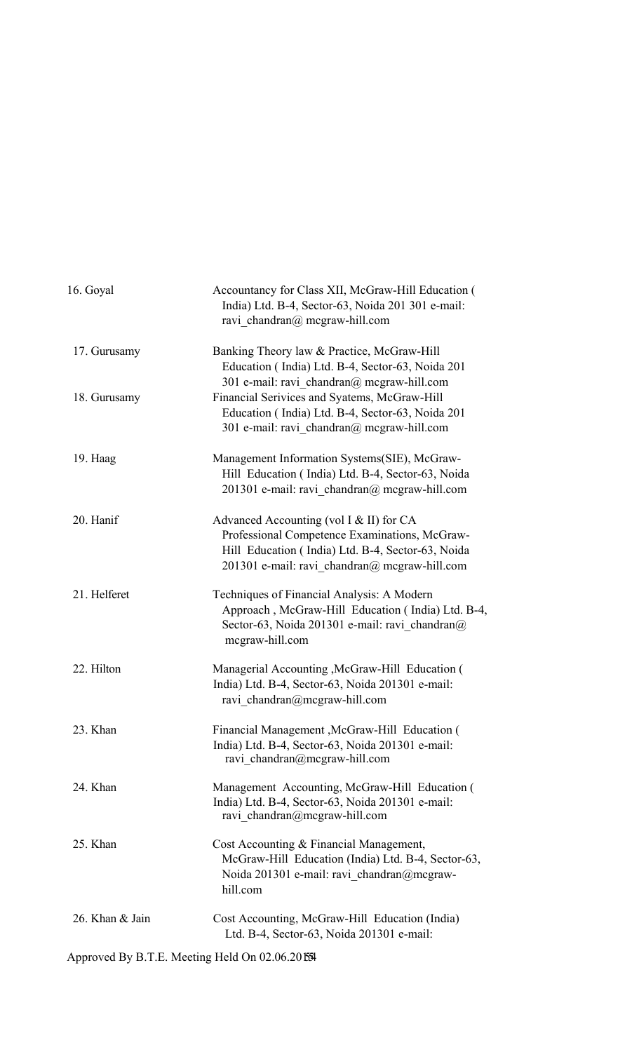| 16. Goyal       | Accountancy for Class XII, McGraw-Hill Education (<br>India) Ltd. B-4, Sector-63, Noida 201 301 e-mail:<br>ravi chandran $@$ mcgraw-hill.com                                                        |
|-----------------|-----------------------------------------------------------------------------------------------------------------------------------------------------------------------------------------------------|
| 17. Gurusamy    | Banking Theory law & Practice, McGraw-Hill<br>Education (India) Ltd. B-4, Sector-63, Noida 201<br>301 e-mail: ravi chandran@ mcgraw-hill.com                                                        |
| 18. Gurusamy    | Financial Serivices and Syatems, McGraw-Hill<br>Education (India) Ltd. B-4, Sector-63, Noida 201<br>301 e-mail: ravi chandran $@$ mcgraw-hill.com                                                   |
| 19. Haag        | Management Information Systems(SIE), McGraw-<br>Hill Education (India) Ltd. B-4, Sector-63, Noida<br>201301 e-mail: ravi chandran@ mcgraw-hill.com                                                  |
| 20. Hanif       | Advanced Accounting (vol I $&$ II) for CA<br>Professional Competence Examinations, McGraw-<br>Hill Education (India) Ltd. B-4, Sector-63, Noida<br>201301 e-mail: ravi chandran $@$ mcgraw-hill.com |
| 21. Helferet    | Techniques of Financial Analysis: A Modern<br>Approach, McGraw-Hill Education (India) Ltd. B-4,<br>Sector-63, Noida 201301 e-mail: ravi chandran@<br>mcgraw-hill.com                                |
| 22. Hilton      | Managerial Accounting , McGraw-Hill Education (<br>India) Ltd. B-4, Sector-63, Noida 201301 e-mail:<br>ravi chandran@mcgraw-hill.com                                                                |
| 23. Khan        | Financial Management, McGraw-Hill Education (<br>India) Ltd. B-4, Sector-63, Noida 201301 e-mail:<br>ravi chandran@mcgraw-hill.com                                                                  |
| 24. Khan        | Management Accounting, McGraw-Hill Education (<br>India) Ltd. B-4, Sector-63, Noida 201301 e-mail:<br>ravi chandran@mcgraw-hill.com                                                                 |
| 25. Khan        | Cost Accounting & Financial Management,<br>McGraw-Hill Education (India) Ltd. B-4, Sector-63,<br>Noida 201301 e-mail: ravi chandran@mcgraw-<br>hill.com                                             |
| 26. Khan & Jain | Cost Accounting, McGraw-Hill Education (India)<br>Ltd. B-4, Sector-63, Noida 201301 e-mail:                                                                                                         |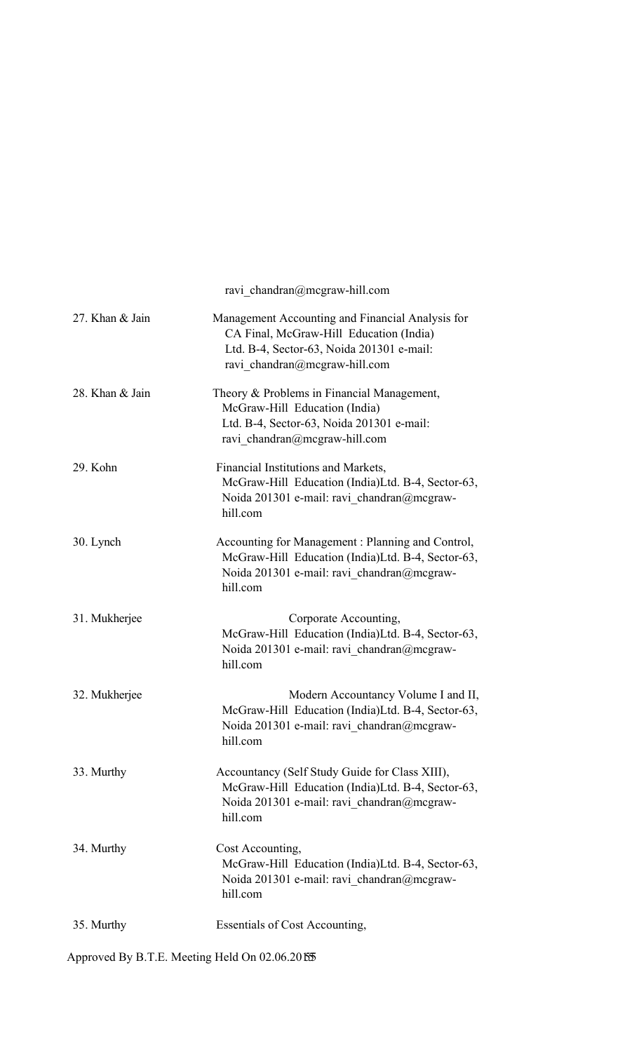|                 | ravi chandran@mcgraw-hill.com                                                                                                                                             |
|-----------------|---------------------------------------------------------------------------------------------------------------------------------------------------------------------------|
| 27. Khan & Jain | Management Accounting and Financial Analysis for<br>CA Final, McGraw-Hill Education (India)<br>Ltd. B-4, Sector-63, Noida 201301 e-mail:<br>ravi chandran@mcgraw-hill.com |
| 28. Khan & Jain | Theory & Problems in Financial Management,<br>McGraw-Hill Education (India)<br>Ltd. B-4, Sector-63, Noida 201301 e-mail:<br>ravi chandran@mcgraw-hill.com                 |
| 29. Kohn        | Financial Institutions and Markets,<br>McGraw-Hill Education (India)Ltd. B-4, Sector-63,<br>Noida 201301 e-mail: ravi chandran@mcgraw-<br>hill.com                        |
| 30. Lynch       | Accounting for Management: Planning and Control,<br>McGraw-Hill Education (India)Ltd. B-4, Sector-63,<br>Noida 201301 e-mail: ravi chandran@mcgraw-<br>hill.com           |
| 31. Mukherjee   | Corporate Accounting,<br>McGraw-Hill Education (India)Ltd. B-4, Sector-63,<br>Noida 201301 e-mail: ravi chandran@mcgraw-<br>hill.com                                      |
| 32. Mukherjee   | Modern Accountancy Volume I and II,<br>McGraw-Hill Education (India)Ltd. B-4, Sector-63,<br>Noida 201301 e-mail: ravi chandran@mcgraw-<br>hill.com                        |
| 33. Murthy      | Accountancy (Self Study Guide for Class XIII),<br>McGraw-Hill Education (India)Ltd. B-4, Sector-63,<br>Noida 201301 e-mail: ravi chandran@mcgraw-<br>hill.com             |
| 34. Murthy      | Cost Accounting,<br>McGraw-Hill Education (India)Ltd. B-4, Sector-63,<br>Noida 201301 e-mail: ravi chandran@mcgraw-<br>hill.com                                           |
| 35. Murthy      | Essentials of Cost Accounting,                                                                                                                                            |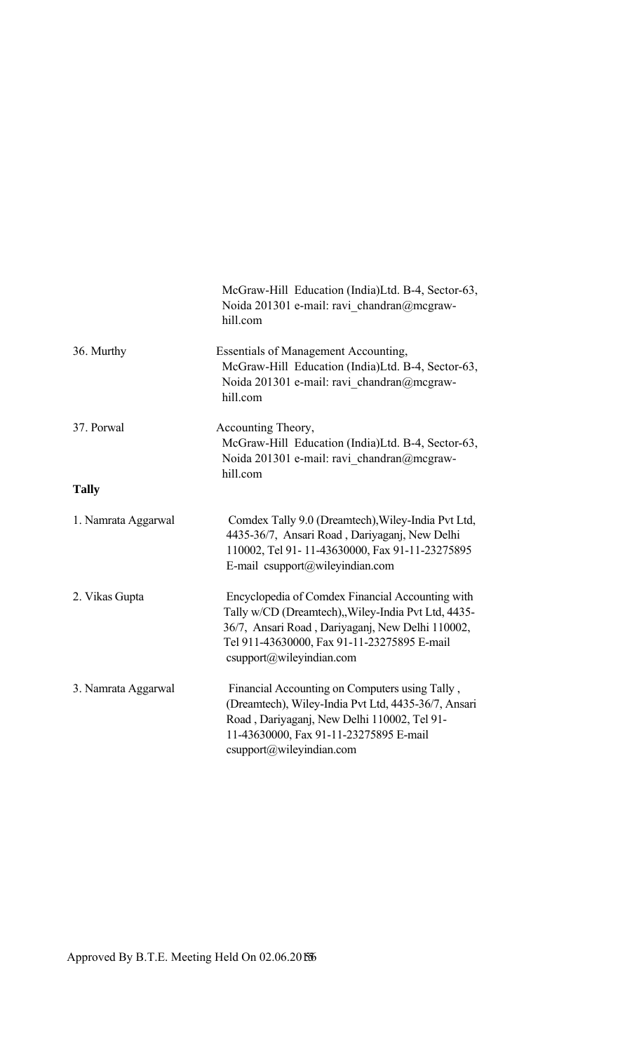|                     | McGraw-Hill Education (India)Ltd. B-4, Sector-63,<br>Noida 201301 e-mail: ravi chandran@mcgraw-<br>hill.com                                                                                                                           |
|---------------------|---------------------------------------------------------------------------------------------------------------------------------------------------------------------------------------------------------------------------------------|
| 36. Murthy          | <b>Essentials of Management Accounting,</b><br>McGraw-Hill Education (India)Ltd. B-4, Sector-63,<br>Noida 201301 e-mail: ravi chandran@mcgraw-<br>hill.com                                                                            |
| 37. Porwal          | Accounting Theory,<br>McGraw-Hill Education (India)Ltd. B-4, Sector-63,<br>Noida 201301 e-mail: ravi chandran@mcgraw-<br>hill.com                                                                                                     |
| <b>Tally</b>        |                                                                                                                                                                                                                                       |
| 1. Namrata Aggarwal | Comdex Tally 9.0 (Dreamtech), Wiley-India Pvt Ltd,<br>4435-36/7, Ansari Road, Dariyaganj, New Delhi<br>110002, Tel 91-11-43630000, Fax 91-11-23275895<br>E-mail csupport@wileyindian.com                                              |
| 2. Vikas Gupta      | Encyclopedia of Comdex Financial Accounting with<br>Tally w/CD (Dreamtech), Wiley-India Pvt Ltd, 4435-<br>36/7, Ansari Road, Dariyaganj, New Delhi 110002,<br>Tel 911-43630000, Fax 91-11-23275895 E-mail<br>csupport@wileyindian.com |
| 3. Namrata Aggarwal | Financial Accounting on Computers using Tally,<br>(Dreamtech), Wiley-India Pvt Ltd, 4435-36/7, Ansari<br>Road, Dariyaganj, New Delhi 110002, Tel 91-<br>11-43630000, Fax 91-11-23275895 E-mail<br>csupport@wileyindian.com            |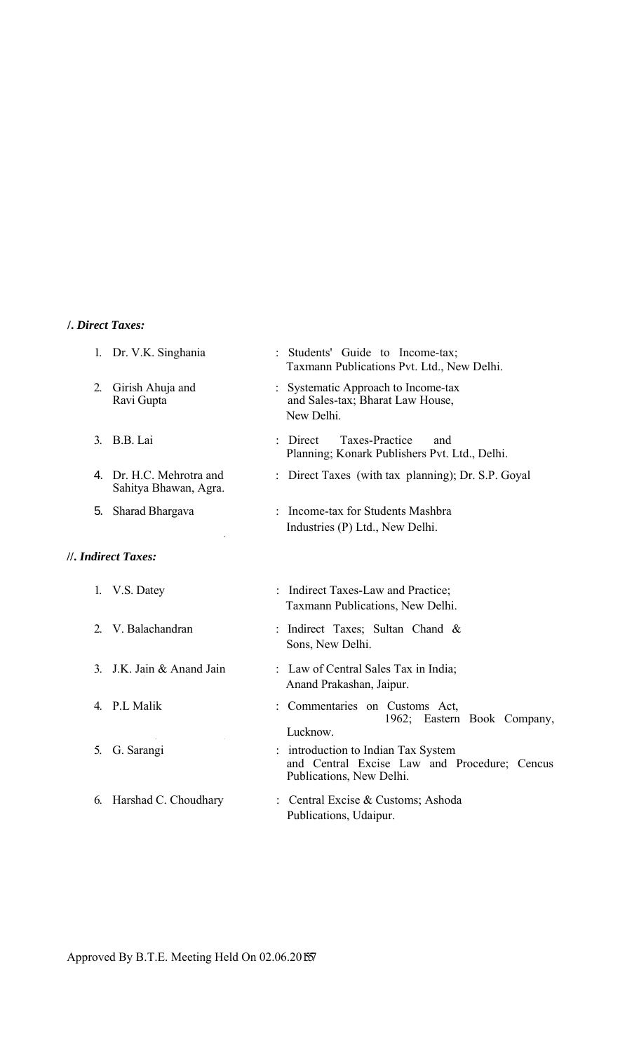# **/.** *Direct Taxes:*

|                | 1. Dr. V.K. Singhania                             | Students' Guide to Income-tax;<br>Taxmann Publications Pvt. Ltd., New Delhi.                                  |
|----------------|---------------------------------------------------|---------------------------------------------------------------------------------------------------------------|
| 2.             | Girish Ahuja and<br>Ravi Gupta                    | Systematic Approach to Income-tax<br>and Sales-tax; Bharat Law House,<br>New Delhi.                           |
|                | 3. B.B. Lai                                       | Taxes-Practice<br>Direct<br>and<br>Planning; Konark Publishers Pvt. Ltd., Delhi.                              |
|                | 4. Dr. H.C. Mehrotra and<br>Sahitya Bhawan, Agra. | Direct Taxes (with tax planning); Dr. S.P. Goyal                                                              |
| 5.             | Sharad Bhargava                                   | Income-tax for Students Mashbra<br>Industries (P) Ltd., New Delhi.                                            |
|                | //. Indirect Taxes:                               |                                                                                                               |
|                | 1. V.S. Datey                                     | : Indirect Taxes-Law and Practice;<br>Taxmann Publications, New Delhi.                                        |
|                | 2. V. Balachandran                                | : Indirect Taxes; Sultan Chand &<br>Sons, New Delhi.                                                          |
| 3 <sub>l</sub> | J.K. Jain & Anand Jain                            | : Law of Central Sales Tax in India;<br>Anand Prakashan, Jaipur.                                              |
|                | 4. P.L Malik                                      | Commentaries on Customs Act,<br>1962; Eastern Book Company,<br>Lucknow.                                       |
|                | 5. G. Sarangi                                     | introduction to Indian Tax System<br>and Central Excise Law and Procedure; Cencus<br>Publications, New Delhi. |
| 6.             | Harshad C. Choudhary                              | : Central Excise & Customs; Ashoda<br>Publications, Udaipur.                                                  |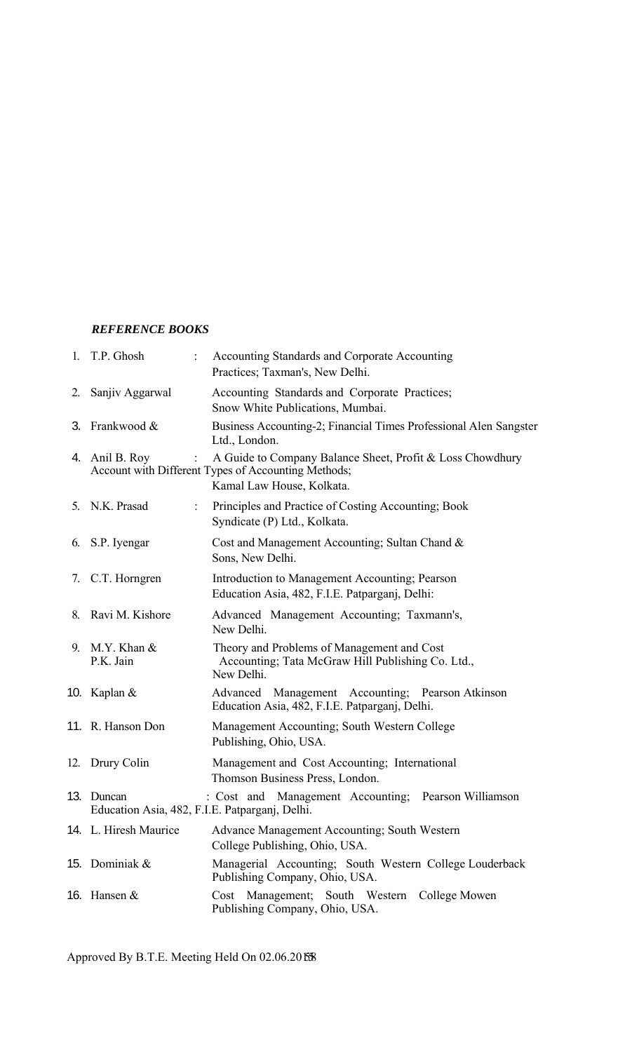# *REFERENCE BOOKS*

|    | 1. T.P. Ghosh                                                | Accounting Standards and Corporate Accounting<br>Practices; Taxman's, New Delhi.                                                              |
|----|--------------------------------------------------------------|-----------------------------------------------------------------------------------------------------------------------------------------------|
|    | 2. Sanjiv Aggarwal                                           | Accounting Standards and Corporate Practices;<br>Snow White Publications, Mumbai.                                                             |
| 3. | Frankwood &                                                  | Business Accounting-2; Financial Times Professional Alen Sangster<br>Ltd., London.                                                            |
|    | 4. Anil B. Roy                                               | A Guide to Company Balance Sheet, Profit & Loss Chowdhury<br>Account with Different Types of Accounting Methods;<br>Kamal Law House, Kolkata. |
| 5. | N.K. Prasad                                                  | Principles and Practice of Costing Accounting; Book<br>Syndicate (P) Ltd., Kolkata.                                                           |
|    | 6. S.P. Iyengar                                              | Cost and Management Accounting; Sultan Chand &<br>Sons, New Delhi.                                                                            |
|    | 7. C.T. Horngren                                             | Introduction to Management Accounting; Pearson<br>Education Asia, 482, F.I.E. Patparganj, Delhi:                                              |
|    | 8. Ravi M. Kishore                                           | Advanced Management Accounting; Taxmann's,<br>New Delhi.                                                                                      |
|    | 9. M.Y. Khan $&$<br>P.K. Jain                                | Theory and Problems of Management and Cost<br>Accounting; Tata McGraw Hill Publishing Co. Ltd.,<br>New Delhi.                                 |
|    | 10. Kaplan $&$                                               | Advanced Management Accounting; Pearson Atkinson<br>Education Asia, 482, F.I.E. Patparganj, Delhi.                                            |
|    | 11. R. Hanson Don                                            | Management Accounting; South Western College<br>Publishing, Ohio, USA.                                                                        |
|    | 12. Drury Colin                                              | Management and Cost Accounting; International<br>Thomson Business Press, London.                                                              |
|    | 13. Duncan<br>Education Asia, 482, F.I.E. Patparganj, Delhi. | : Cost and Management Accounting; Pearson Williamson                                                                                          |
|    | 14. L. Hiresh Maurice                                        | Advance Management Accounting; South Western<br>College Publishing, Ohio, USA.                                                                |
|    | 15. Dominiak &                                               | Managerial Accounting; South Western College Louderback<br>Publishing Company, Ohio, USA.                                                     |
|    | 16. Hansen $&$                                               | Cost Management; South Western College Mowen<br>Publishing Company, Ohio, USA.                                                                |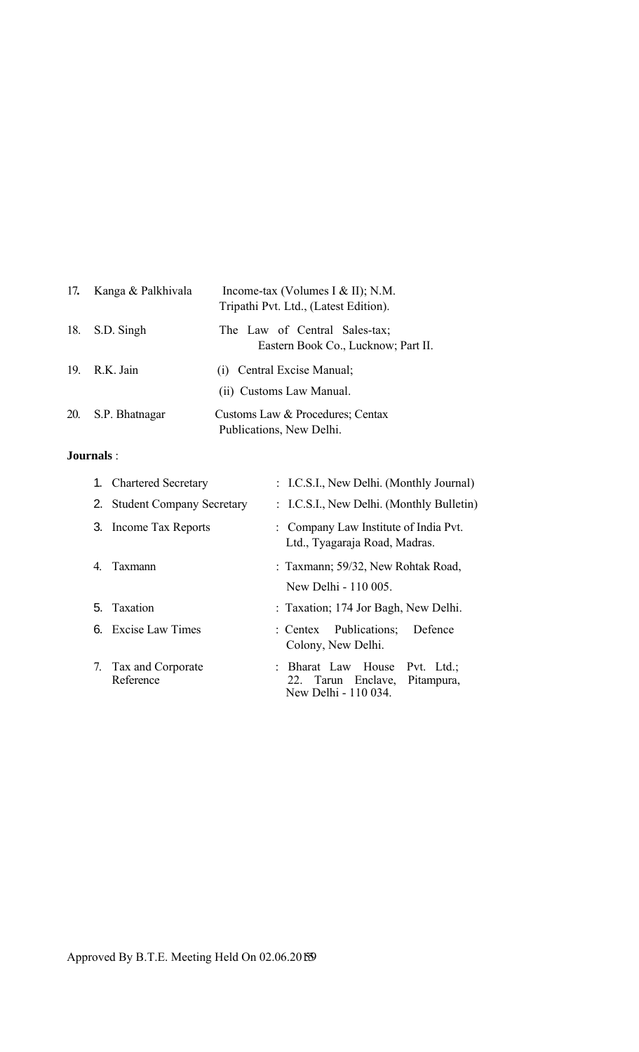| 17. | Kanga & Palkhivala | Income-tax (Volumes I & II); N.M.<br>Tripathi Pvt. Ltd., (Latest Edition). |
|-----|--------------------|----------------------------------------------------------------------------|
|     | 18. S.D. Singh     | The Law of Central Sales-tax;<br>Eastern Book Co., Lucknow; Part II.       |
| 19. | R.K. Jain          | (i) Central Excise Manual;<br>(ii) Customs Law Manual.                     |
| 20. | S.P. Bhatnagar     | Customs Law & Procedures; Centax<br>Publications, New Delhi.               |

# **Journals** :

|    | 1. Chartered Secretary         | : I.C.S.I., New Delhi. (Monthly Journal)                                                  |
|----|--------------------------------|-------------------------------------------------------------------------------------------|
|    | 2. Student Company Secretary   | : I.C.S.I., New Delhi. (Monthly Bulletin)                                                 |
|    | 3. Income Tax Reports          | : Company Law Institute of India Pvt.<br>Ltd., Tyagaraja Road, Madras.                    |
| 4  | Taxmann                        | : Taxmann; 59/32, New Rohtak Road,                                                        |
|    |                                | New Delhi - 110 005.                                                                      |
|    | 5. Taxation                    | : Taxation; 174 Jor Bagh, New Delhi.                                                      |
|    | 6. Excise Law Times            | : Centex Publications;<br>Defence<br>Colony, New Delhi.                                   |
| 7. | Tax and Corporate<br>Reference | : Bharat Law House<br>Pvt. Ltd.;<br>22. Tarun Enclave, Pitampura,<br>New Delhi - 110 034. |